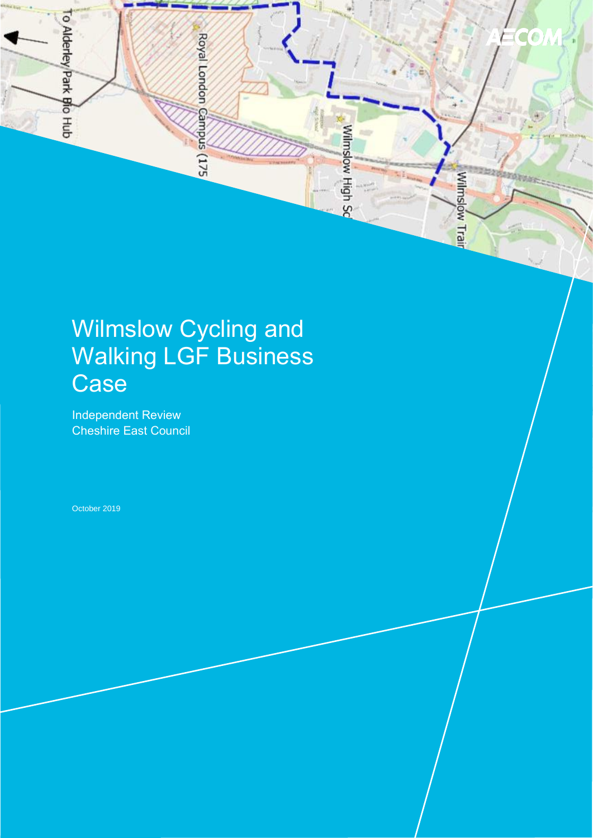

# Wilmslow Cycling and Walking LGF Business **Case**

Independent Review Cheshire East Council

October 2019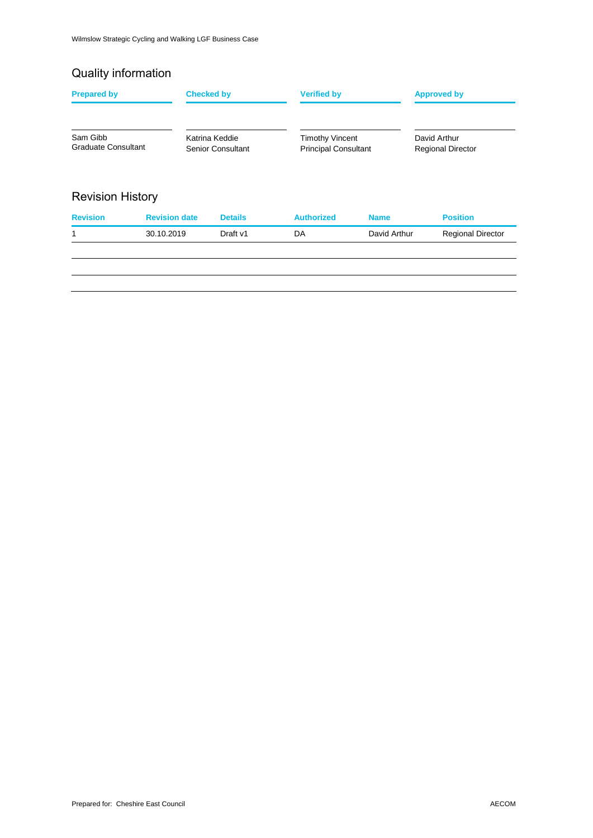### Quality information

| Sam Gibb<br>Graduate Consultant |                      | Katrina Keddie<br>Senior Consultant | <b>Timothy Vincent</b>      |              | David Arthur             |
|---------------------------------|----------------------|-------------------------------------|-----------------------------|--------------|--------------------------|
|                                 |                      |                                     | <b>Principal Consultant</b> |              | <b>Regional Director</b> |
| <b>Revision History</b>         |                      |                                     |                             |              |                          |
| <b>Revision</b>                 | <b>Revision date</b> | <b>Details</b>                      | <b>Authorized</b>           | <b>Name</b>  | <b>Position</b>          |
| 1                               | 30.10.2019           | Draft v1                            | DA                          | David Arthur | <b>Regional Director</b> |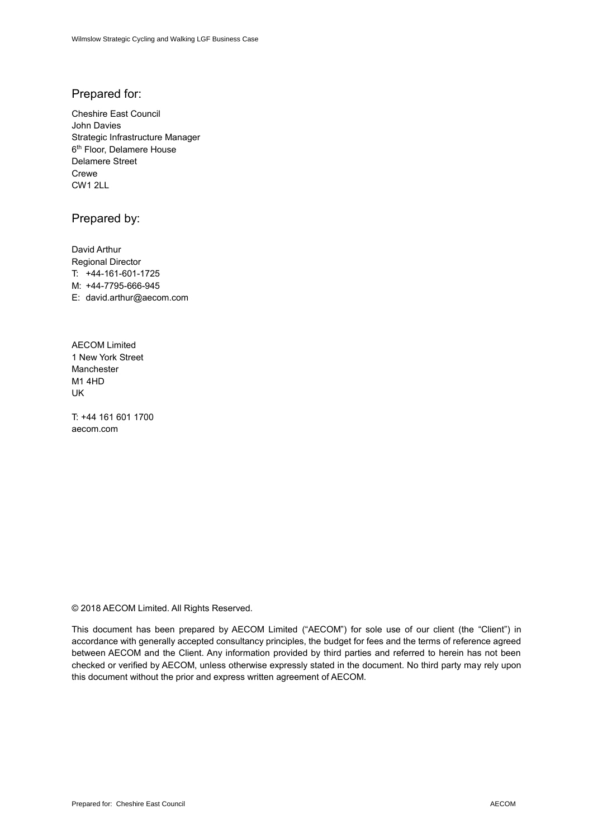### Prepared for:

Cheshire East Council John Davies Strategic Infrastructure Manager 6 th Floor, Delamere House Delamere Street Crewe CW1 2LL

### Prepared by:

David Arthur Regional Director T: +44-161-601-1725 M: +44-7795-666-945 E: david.arthur@aecom.com

AECOM Limited 1 New York Street Manchester M1 4HD UK

T: +44 161 601 1700 aecom.com

© 2018 AECOM Limited. All Rights Reserved.

This document has been prepared by AECOM Limited ("AECOM") for sole use of our client (the "Client") in accordance with generally accepted consultancy principles, the budget for fees and the terms of reference agreed between AECOM and the Client. Any information provided by third parties and referred to herein has not been checked or verified by AECOM, unless otherwise expressly stated in the document. No third party may rely upon this document without the prior and express written agreement of AECOM.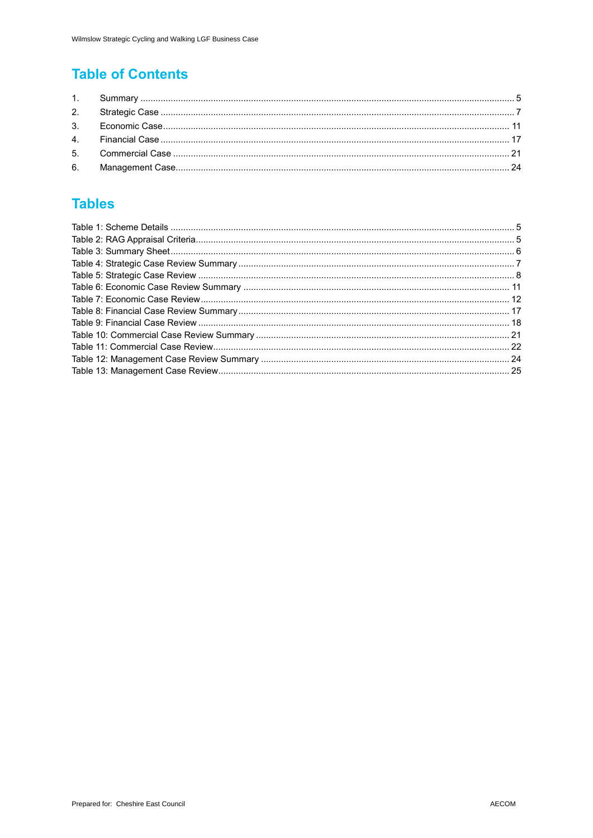### **Table of Contents**

### **Tables**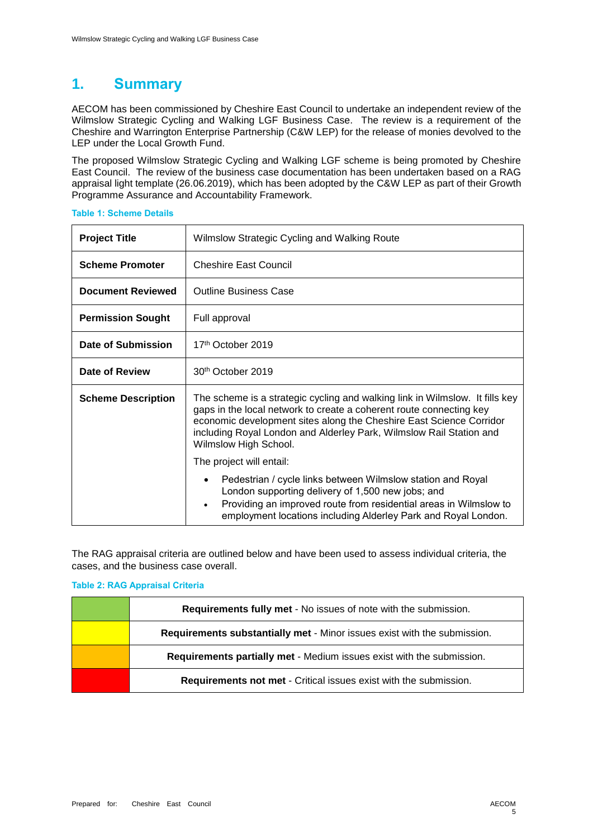### **1. Summary**

AECOM has been commissioned by Cheshire East Council to undertake an independent review of the Wilmslow Strategic Cycling and Walking LGF Business Case. The review is a requirement of the Cheshire and Warrington Enterprise Partnership (C&W LEP) for the release of monies devolved to the LEP under the Local Growth Fund.

The proposed Wilmslow Strategic Cycling and Walking LGF scheme is being promoted by Cheshire East Council. The review of the business case documentation has been undertaken based on a RAG appraisal light template (26.06.2019), which has been adopted by the C&W LEP as part of their Growth Programme Assurance and Accountability Framework.

| <b>Project Title</b>      | Wilmslow Strategic Cycling and Walking Route                                                                                                                                                                                                                                                                               |  |  |  |
|---------------------------|----------------------------------------------------------------------------------------------------------------------------------------------------------------------------------------------------------------------------------------------------------------------------------------------------------------------------|--|--|--|
| <b>Scheme Promoter</b>    | <b>Cheshire East Council</b>                                                                                                                                                                                                                                                                                               |  |  |  |
| <b>Document Reviewed</b>  | <b>Outline Business Case</b>                                                                                                                                                                                                                                                                                               |  |  |  |
| <b>Permission Sought</b>  | Full approval                                                                                                                                                                                                                                                                                                              |  |  |  |
| Date of Submission        | 17 <sup>th</sup> October 2019                                                                                                                                                                                                                                                                                              |  |  |  |
| Date of Review            | 30 <sup>th</sup> October 2019                                                                                                                                                                                                                                                                                              |  |  |  |
| <b>Scheme Description</b> | The scheme is a strategic cycling and walking link in Wilmslow. It fills key<br>gaps in the local network to create a coherent route connecting key<br>economic development sites along the Cheshire East Science Corridor<br>including Royal London and Alderley Park, Wilmslow Rail Station and<br>Wilmslow High School. |  |  |  |
|                           | The project will entail:                                                                                                                                                                                                                                                                                                   |  |  |  |
|                           | Pedestrian / cycle links between Wilmslow station and Royal<br>٠<br>London supporting delivery of 1,500 new jobs; and<br>Providing an improved route from residential areas in Wilmslow to<br>$\bullet$<br>employment locations including Alderley Park and Royal London.                                                  |  |  |  |

#### **Table 1: Scheme Details**

The RAG appraisal criteria are outlined below and have been used to assess individual criteria, the cases, and the business case overall.

### **Table 2: RAG Appraisal Criteria**

| <b>Requirements fully met - No issues of note with the submission.</b>   |
|--------------------------------------------------------------------------|
| Requirements substantially met - Minor issues exist with the submission. |
| Requirements partially met - Medium issues exist with the submission.    |
| Requirements not met - Critical issues exist with the submission.        |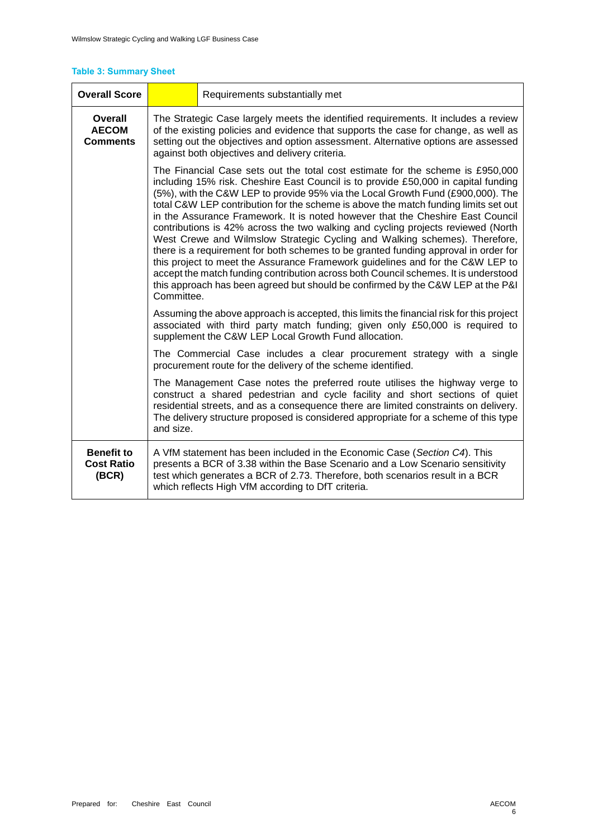### **Table 3: Summary Sheet**

| <b>Overall Score</b>                            | Requirements substantially met                                                                                                                                                                                                                                                                                                                                                                                                                                                                                                                                                                                                                                                                                                                                                                           |                                                                                                                                                                                                                                                                                                                                                                                                                                                                                                                                                                                                                                                                                                                                                                                                                                                                                                                                                       |  |  |
|-------------------------------------------------|----------------------------------------------------------------------------------------------------------------------------------------------------------------------------------------------------------------------------------------------------------------------------------------------------------------------------------------------------------------------------------------------------------------------------------------------------------------------------------------------------------------------------------------------------------------------------------------------------------------------------------------------------------------------------------------------------------------------------------------------------------------------------------------------------------|-------------------------------------------------------------------------------------------------------------------------------------------------------------------------------------------------------------------------------------------------------------------------------------------------------------------------------------------------------------------------------------------------------------------------------------------------------------------------------------------------------------------------------------------------------------------------------------------------------------------------------------------------------------------------------------------------------------------------------------------------------------------------------------------------------------------------------------------------------------------------------------------------------------------------------------------------------|--|--|
| Overall<br><b>AECOM</b><br><b>Comments</b>      | The Strategic Case largely meets the identified requirements. It includes a review<br>of the existing policies and evidence that supports the case for change, as well as<br>setting out the objectives and option assessment. Alternative options are assessed<br>against both objectives and delivery criteria.                                                                                                                                                                                                                                                                                                                                                                                                                                                                                        |                                                                                                                                                                                                                                                                                                                                                                                                                                                                                                                                                                                                                                                                                                                                                                                                                                                                                                                                                       |  |  |
|                                                 | Committee.                                                                                                                                                                                                                                                                                                                                                                                                                                                                                                                                                                                                                                                                                                                                                                                               | The Financial Case sets out the total cost estimate for the scheme is £950,000<br>including 15% risk. Cheshire East Council is to provide £50,000 in capital funding<br>(5%), with the C&W LEP to provide 95% via the Local Growth Fund (£900,000). The<br>total C&W LEP contribution for the scheme is above the match funding limits set out<br>in the Assurance Framework. It is noted however that the Cheshire East Council<br>contributions is 42% across the two walking and cycling projects reviewed (North<br>West Crewe and Wilmslow Strategic Cycling and Walking schemes). Therefore,<br>there is a requirement for both schemes to be granted funding approval in order for<br>this project to meet the Assurance Framework guidelines and for the C&W LEP to<br>accept the match funding contribution across both Council schemes. It is understood<br>this approach has been agreed but should be confirmed by the C&W LEP at the P&I |  |  |
|                                                 | Assuming the above approach is accepted, this limits the financial risk for this project<br>associated with third party match funding; given only £50,000 is required to<br>supplement the C&W LEP Local Growth Fund allocation.                                                                                                                                                                                                                                                                                                                                                                                                                                                                                                                                                                         |                                                                                                                                                                                                                                                                                                                                                                                                                                                                                                                                                                                                                                                                                                                                                                                                                                                                                                                                                       |  |  |
|                                                 | The Commercial Case includes a clear procurement strategy with a single<br>procurement route for the delivery of the scheme identified.<br>The Management Case notes the preferred route utilises the highway verge to<br>construct a shared pedestrian and cycle facility and short sections of quiet<br>residential streets, and as a consequence there are limited constraints on delivery.<br>The delivery structure proposed is considered appropriate for a scheme of this type<br>and size.<br>A VfM statement has been included in the Economic Case (Section C4). This<br>presents a BCR of 3.38 within the Base Scenario and a Low Scenario sensitivity<br>test which generates a BCR of 2.73. Therefore, both scenarios result in a BCR<br>which reflects High VfM according to DfT criteria. |                                                                                                                                                                                                                                                                                                                                                                                                                                                                                                                                                                                                                                                                                                                                                                                                                                                                                                                                                       |  |  |
|                                                 |                                                                                                                                                                                                                                                                                                                                                                                                                                                                                                                                                                                                                                                                                                                                                                                                          |                                                                                                                                                                                                                                                                                                                                                                                                                                                                                                                                                                                                                                                                                                                                                                                                                                                                                                                                                       |  |  |
| <b>Benefit to</b><br><b>Cost Ratio</b><br>(BCR) |                                                                                                                                                                                                                                                                                                                                                                                                                                                                                                                                                                                                                                                                                                                                                                                                          |                                                                                                                                                                                                                                                                                                                                                                                                                                                                                                                                                                                                                                                                                                                                                                                                                                                                                                                                                       |  |  |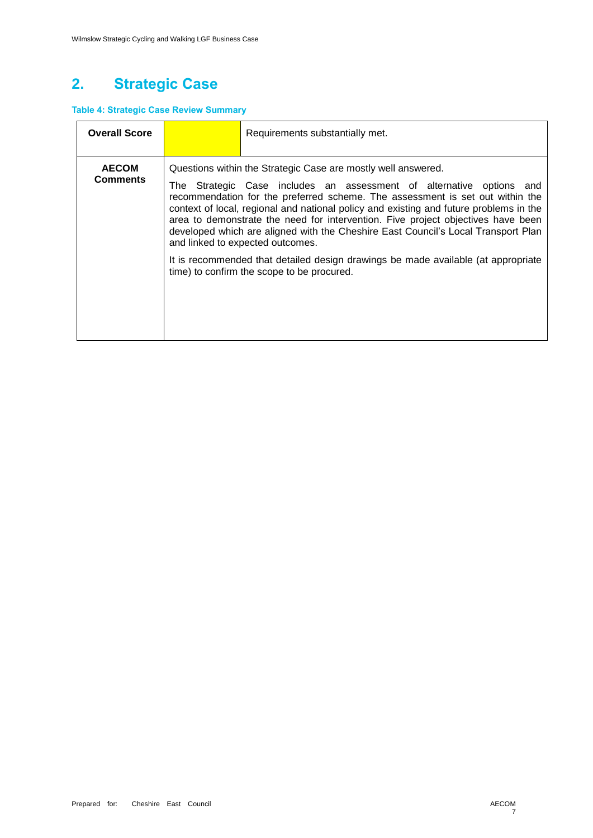# **2. Strategic Case**

### **Table 4: Strategic Case Review Summary**

| <b>Overall Score</b>            | Requirements substantially met.                                                                                                                                                                                                                                                                                                                                                                                                                                                                                                                                                                                                                                  |
|---------------------------------|------------------------------------------------------------------------------------------------------------------------------------------------------------------------------------------------------------------------------------------------------------------------------------------------------------------------------------------------------------------------------------------------------------------------------------------------------------------------------------------------------------------------------------------------------------------------------------------------------------------------------------------------------------------|
| <b>AECOM</b><br><b>Comments</b> | Questions within the Strategic Case are mostly well answered.<br>The Strategic Case includes an assessment of alternative options and<br>recommendation for the preferred scheme. The assessment is set out within the<br>context of local, regional and national policy and existing and future problems in the<br>area to demonstrate the need for intervention. Five project objectives have been<br>developed which are aligned with the Cheshire East Council's Local Transport Plan<br>and linked to expected outcomes.<br>It is recommended that detailed design drawings be made available (at appropriate<br>time) to confirm the scope to be procured. |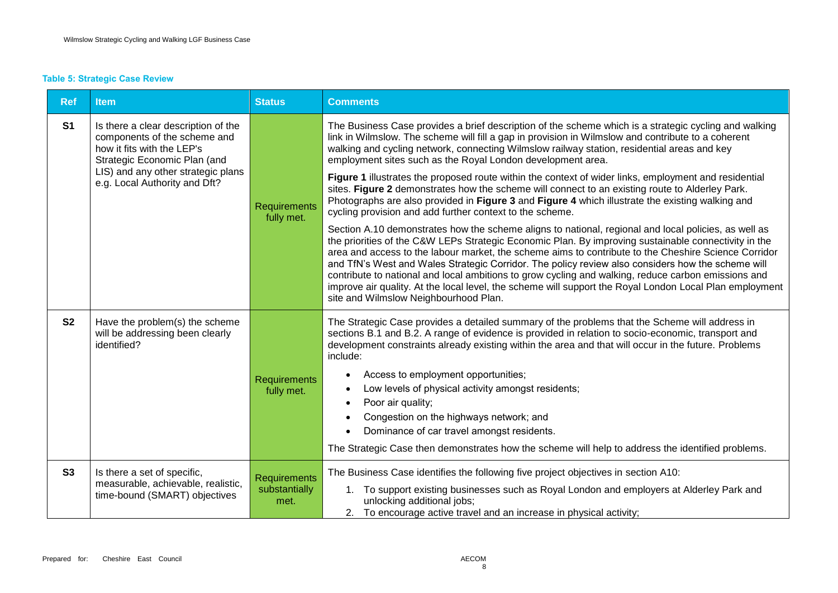### **Table 5: Strategic Case Review**

| <b>Ref</b>     | <b>Item</b>                                                                                                                                                                                              | <b>Status</b>                                | <b>Comments</b>                                                                                                                                                                                                                                                                                                                                                                                                                                                                                                                                                                                                                                                                      |
|----------------|----------------------------------------------------------------------------------------------------------------------------------------------------------------------------------------------------------|----------------------------------------------|--------------------------------------------------------------------------------------------------------------------------------------------------------------------------------------------------------------------------------------------------------------------------------------------------------------------------------------------------------------------------------------------------------------------------------------------------------------------------------------------------------------------------------------------------------------------------------------------------------------------------------------------------------------------------------------|
| S <sub>1</sub> | Is there a clear description of the<br>components of the scheme and<br>how it fits with the LEP's<br>Strategic Economic Plan (and<br>LIS) and any other strategic plans<br>e.g. Local Authority and Dft? | Requirements<br>fully met.                   | The Business Case provides a brief description of the scheme which is a strategic cycling and walking<br>link in Wilmslow. The scheme will fill a gap in provision in Wilmslow and contribute to a coherent<br>walking and cycling network, connecting Wilmslow railway station, residential areas and key<br>employment sites such as the Royal London development area.                                                                                                                                                                                                                                                                                                            |
|                |                                                                                                                                                                                                          |                                              | Figure 1 illustrates the proposed route within the context of wider links, employment and residential<br>sites. Figure 2 demonstrates how the scheme will connect to an existing route to Alderley Park.<br>Photographs are also provided in Figure 3 and Figure 4 which illustrate the existing walking and<br>cycling provision and add further context to the scheme.                                                                                                                                                                                                                                                                                                             |
|                |                                                                                                                                                                                                          |                                              | Section A.10 demonstrates how the scheme aligns to national, regional and local policies, as well as<br>the priorities of the C&W LEPs Strategic Economic Plan. By improving sustainable connectivity in the<br>area and access to the labour market, the scheme aims to contribute to the Cheshire Science Corridor<br>and TfN's West and Wales Strategic Corridor. The policy review also considers how the scheme will<br>contribute to national and local ambitions to grow cycling and walking, reduce carbon emissions and<br>improve air quality. At the local level, the scheme will support the Royal London Local Plan employment<br>site and Wilmslow Neighbourhood Plan. |
| S <sub>2</sub> | Have the problem(s) the scheme<br>will be addressing been clearly<br>identified?                                                                                                                         | <b>Requirements</b><br>fully met.            | The Strategic Case provides a detailed summary of the problems that the Scheme will address in<br>sections B.1 and B.2. A range of evidence is provided in relation to socio-economic, transport and<br>development constraints already existing within the area and that will occur in the future. Problems<br>include:<br>Access to employment opportunities;<br>Low levels of physical activity amongst residents;<br>Poor air quality;<br>Congestion on the highways network; and<br>Dominance of car travel amongst residents.<br>The Strategic Case then demonstrates how the scheme will help to address the identified problems.                                             |
| S3             | Is there a set of specific,<br>measurable, achievable, realistic,<br>time-bound (SMART) objectives                                                                                                       | <b>Requirements</b><br>substantially<br>met. | The Business Case identifies the following five project objectives in section A10:<br>1. To support existing businesses such as Royal London and employers at Alderley Park and<br>unlocking additional jobs;<br>2. To encourage active travel and an increase in physical activity;                                                                                                                                                                                                                                                                                                                                                                                                 |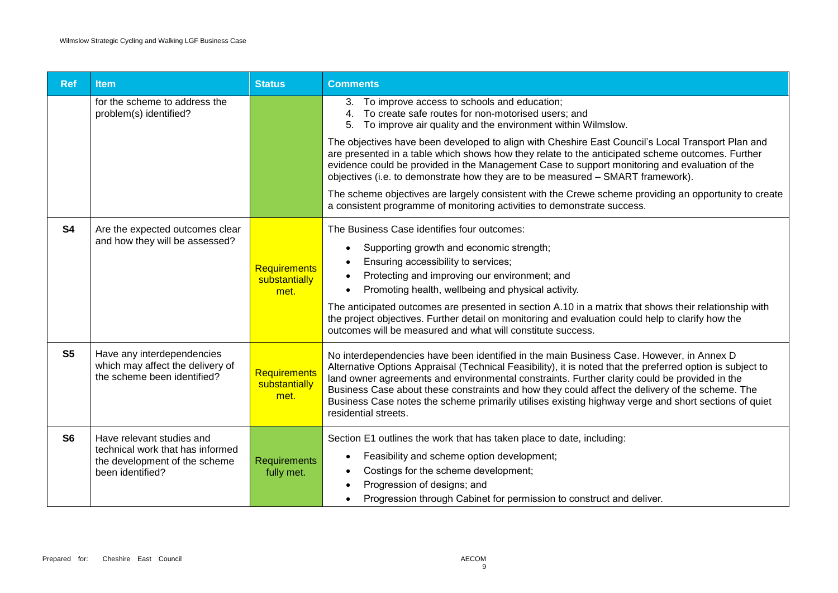| <b>Ref</b>     | <b>Item</b>                                                                                                        | <b>Status</b>                         | <b>Comments</b>                                                                                                                                                                                                                                                                                                                                                                                                                                                                                                                            |
|----------------|--------------------------------------------------------------------------------------------------------------------|---------------------------------------|--------------------------------------------------------------------------------------------------------------------------------------------------------------------------------------------------------------------------------------------------------------------------------------------------------------------------------------------------------------------------------------------------------------------------------------------------------------------------------------------------------------------------------------------|
|                | for the scheme to address the<br>problem(s) identified?                                                            |                                       | 3. To improve access to schools and education;<br>To create safe routes for non-motorised users; and<br>4.<br>5. To improve air quality and the environment within Wilmslow.                                                                                                                                                                                                                                                                                                                                                               |
|                |                                                                                                                    |                                       | The objectives have been developed to align with Cheshire East Council's Local Transport Plan and<br>are presented in a table which shows how they relate to the anticipated scheme outcomes. Further<br>evidence could be provided in the Management Case to support monitoring and evaluation of the<br>objectives (i.e. to demonstrate how they are to be measured - SMART framework).                                                                                                                                                  |
|                |                                                                                                                    |                                       | The scheme objectives are largely consistent with the Crewe scheme providing an opportunity to create<br>a consistent programme of monitoring activities to demonstrate success.                                                                                                                                                                                                                                                                                                                                                           |
| S <sub>4</sub> | Are the expected outcomes clear<br>and how they will be assessed?                                                  | Requirements<br>substantially<br>met. | The Business Case identifies four outcomes:<br>Supporting growth and economic strength;<br>Ensuring accessibility to services;<br>Protecting and improving our environment; and<br>Promoting health, wellbeing and physical activity.<br>The anticipated outcomes are presented in section A.10 in a matrix that shows their relationship with<br>the project objectives. Further detail on monitoring and evaluation could help to clarify how the<br>outcomes will be measured and what will constitute success.                         |
| S <sub>5</sub> | Have any interdependencies<br>which may affect the delivery of<br>the scheme been identified?                      | Requirements<br>substantially<br>met. | No interdependencies have been identified in the main Business Case. However, in Annex D<br>Alternative Options Appraisal (Technical Feasibility), it is noted that the preferred option is subject to<br>land owner agreements and environmental constraints. Further clarity could be provided in the<br>Business Case about these constraints and how they could affect the delivery of the scheme. The<br>Business Case notes the scheme primarily utilises existing highway verge and short sections of quiet<br>residential streets. |
| S <sub>6</sub> | Have relevant studies and<br>technical work that has informed<br>the development of the scheme<br>been identified? | Requirements<br>fully met.            | Section E1 outlines the work that has taken place to date, including:<br>Feasibility and scheme option development;<br>Costings for the scheme development;<br>Progression of designs; and<br>Progression through Cabinet for permission to construct and deliver.                                                                                                                                                                                                                                                                         |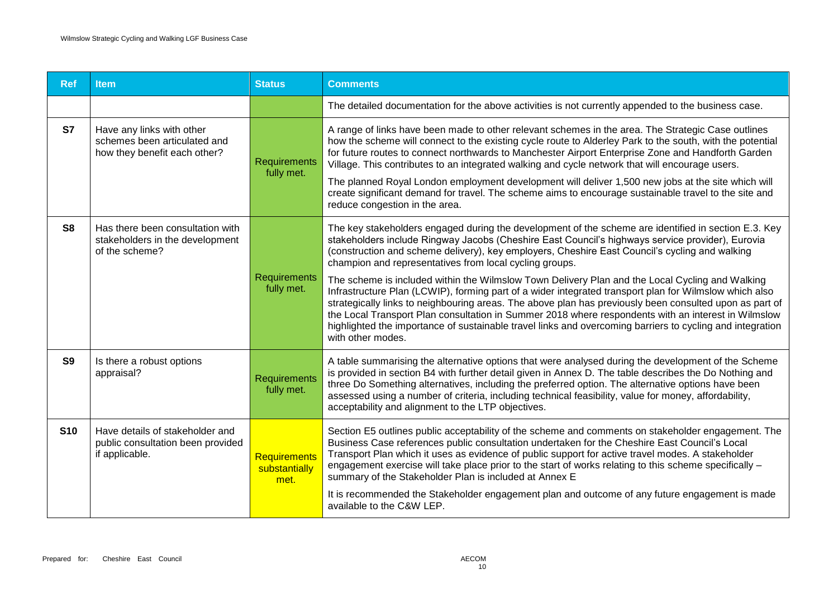| <b>Ref</b>     | ltem.                                                                                     | <b>Status</b>                         | <b>Comments</b>                                                                                                                                                                                                                                                                                                                                                                                                                                                                                                                                                                                                                                                           |
|----------------|-------------------------------------------------------------------------------------------|---------------------------------------|---------------------------------------------------------------------------------------------------------------------------------------------------------------------------------------------------------------------------------------------------------------------------------------------------------------------------------------------------------------------------------------------------------------------------------------------------------------------------------------------------------------------------------------------------------------------------------------------------------------------------------------------------------------------------|
|                |                                                                                           |                                       | The detailed documentation for the above activities is not currently appended to the business case.                                                                                                                                                                                                                                                                                                                                                                                                                                                                                                                                                                       |
| <b>S7</b>      | Have any links with other<br>schemes been articulated and<br>how they benefit each other? | Requirements<br>fully met.            | A range of links have been made to other relevant schemes in the area. The Strategic Case outlines<br>how the scheme will connect to the existing cycle route to Alderley Park to the south, with the potential<br>for future routes to connect northwards to Manchester Airport Enterprise Zone and Handforth Garden<br>Village. This contributes to an integrated walking and cycle network that will encourage users.<br>The planned Royal London employment development will deliver 1,500 new jobs at the site which will<br>create significant demand for travel. The scheme aims to encourage sustainable travel to the site and<br>reduce congestion in the area. |
| S <sub>8</sub> | Has there been consultation with<br>stakeholders in the development<br>of the scheme?     |                                       | The key stakeholders engaged during the development of the scheme are identified in section E.3. Key<br>stakeholders include Ringway Jacobs (Cheshire East Council's highways service provider), Eurovia<br>(construction and scheme delivery), key employers, Cheshire East Council's cycling and walking<br>champion and representatives from local cycling groups.                                                                                                                                                                                                                                                                                                     |
|                |                                                                                           | Requirements<br>fully met.            | The scheme is included within the Wilmslow Town Delivery Plan and the Local Cycling and Walking<br>Infrastructure Plan (LCWIP), forming part of a wider integrated transport plan for Wilmslow which also<br>strategically links to neighbouring areas. The above plan has previously been consulted upon as part of<br>the Local Transport Plan consultation in Summer 2018 where respondents with an interest in Wilmslow<br>highlighted the importance of sustainable travel links and overcoming barriers to cycling and integration<br>with other modes.                                                                                                             |
| S <sub>9</sub> | Is there a robust options<br>appraisal?                                                   | <b>Requirements</b><br>fully met.     | A table summarising the alternative options that were analysed during the development of the Scheme<br>is provided in section B4 with further detail given in Annex D. The table describes the Do Nothing and<br>three Do Something alternatives, including the preferred option. The alternative options have been<br>assessed using a number of criteria, including technical feasibility, value for money, affordability,<br>acceptability and alignment to the LTP objectives.                                                                                                                                                                                        |
| <b>S10</b>     | Have details of stakeholder and<br>public consultation been provided<br>if applicable.    | Requirements<br>substantially<br>met. | Section E5 outlines public acceptability of the scheme and comments on stakeholder engagement. The<br>Business Case references public consultation undertaken for the Cheshire East Council's Local<br>Transport Plan which it uses as evidence of public support for active travel modes. A stakeholder<br>engagement exercise will take place prior to the start of works relating to this scheme specifically -<br>summary of the Stakeholder Plan is included at Annex E<br>It is recommended the Stakeholder engagement plan and outcome of any future engagement is made<br>available to the C&W LEP.                                                               |
|                |                                                                                           |                                       |                                                                                                                                                                                                                                                                                                                                                                                                                                                                                                                                                                                                                                                                           |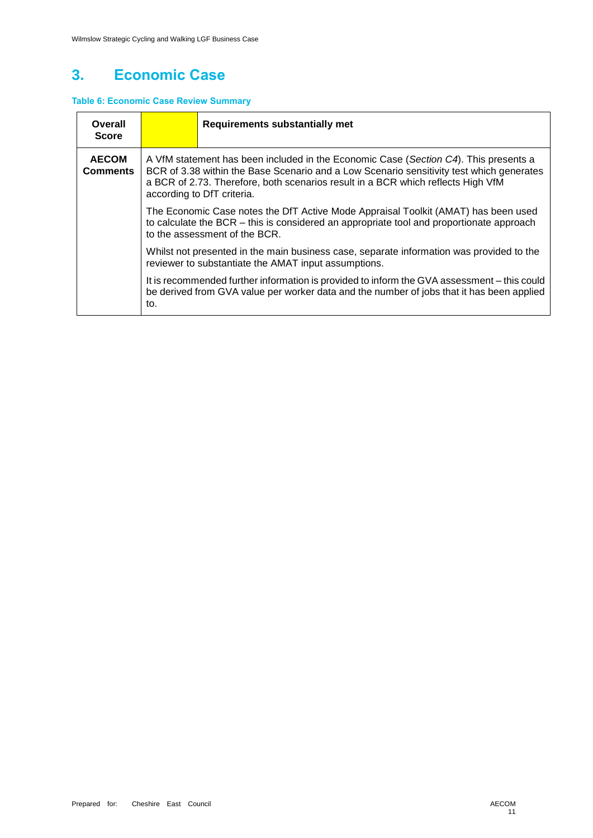## **3. Economic Case**

### **Table 6: Economic Case Review Summary**

| Overall<br><b>Score</b>                                                                                                                          |                                                                                                                                                                                                                                                                                                                                                                                                                                                                                                                       | <b>Requirements substantially met</b>                                                                                                                                                    |  |
|--------------------------------------------------------------------------------------------------------------------------------------------------|-----------------------------------------------------------------------------------------------------------------------------------------------------------------------------------------------------------------------------------------------------------------------------------------------------------------------------------------------------------------------------------------------------------------------------------------------------------------------------------------------------------------------|------------------------------------------------------------------------------------------------------------------------------------------------------------------------------------------|--|
| <b>AECOM</b><br><b>Comments</b>                                                                                                                  | A VfM statement has been included in the Economic Case (Section C4). This presents a<br>BCR of 3.38 within the Base Scenario and a Low Scenario sensitivity test which generates<br>a BCR of 2.73. Therefore, both scenarios result in a BCR which reflects High VfM<br>according to DfT criteria.<br>The Economic Case notes the DfT Active Mode Appraisal Toolkit (AMAT) has been used<br>to calculate the BCR – this is considered an appropriate tool and proportionate approach<br>to the assessment of the BCR. |                                                                                                                                                                                          |  |
|                                                                                                                                                  |                                                                                                                                                                                                                                                                                                                                                                                                                                                                                                                       |                                                                                                                                                                                          |  |
| Whilst not presented in the main business case, separate information was provided to the<br>reviewer to substantiate the AMAT input assumptions. |                                                                                                                                                                                                                                                                                                                                                                                                                                                                                                                       |                                                                                                                                                                                          |  |
|                                                                                                                                                  | to.                                                                                                                                                                                                                                                                                                                                                                                                                                                                                                                   | It is recommended further information is provided to inform the GVA assessment - this could<br>be derived from GVA value per worker data and the number of jobs that it has been applied |  |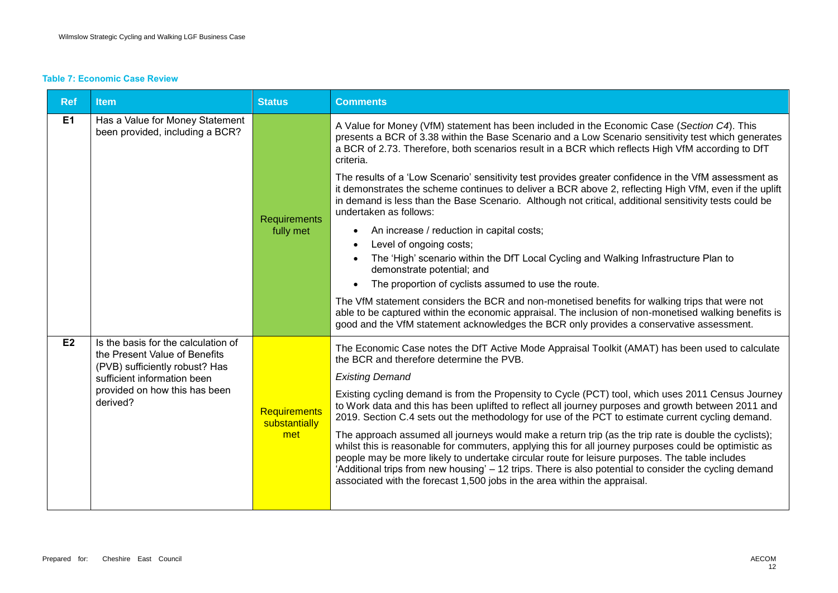#### **Table 7: Economic Case Review**

| <b>Ref</b>     | <b>Item</b>                                                                                                                                                                        | <b>Status</b>                        | <b>Comments</b>                                                                                                                                                                                                                                                                                                                                                                                                                                                                                                                                                                                                                                                                                                                                                                                                                                                                                                                                                                                                                                                                                                                                                                                                                         |
|----------------|------------------------------------------------------------------------------------------------------------------------------------------------------------------------------------|--------------------------------------|-----------------------------------------------------------------------------------------------------------------------------------------------------------------------------------------------------------------------------------------------------------------------------------------------------------------------------------------------------------------------------------------------------------------------------------------------------------------------------------------------------------------------------------------------------------------------------------------------------------------------------------------------------------------------------------------------------------------------------------------------------------------------------------------------------------------------------------------------------------------------------------------------------------------------------------------------------------------------------------------------------------------------------------------------------------------------------------------------------------------------------------------------------------------------------------------------------------------------------------------|
| E <sub>1</sub> | Has a Value for Money Statement<br>been provided, including a BCR?                                                                                                                 | Requirements<br>fully met            | A Value for Money (VfM) statement has been included in the Economic Case (Section C4). This<br>presents a BCR of 3.38 within the Base Scenario and a Low Scenario sensitivity test which generates<br>a BCR of 2.73. Therefore, both scenarios result in a BCR which reflects High VfM according to DfT<br>criteria.<br>The results of a 'Low Scenario' sensitivity test provides greater confidence in the VfM assessment as<br>it demonstrates the scheme continues to deliver a BCR above 2, reflecting High VfM, even if the uplift<br>in demand is less than the Base Scenario. Although not critical, additional sensitivity tests could be<br>undertaken as follows:<br>An increase / reduction in capital costs;<br>Level of ongoing costs;<br>The 'High' scenario within the DfT Local Cycling and Walking Infrastructure Plan to<br>demonstrate potential; and<br>The proportion of cyclists assumed to use the route.<br>The VfM statement considers the BCR and non-monetised benefits for walking trips that were not<br>able to be captured within the economic appraisal. The inclusion of non-monetised walking benefits is<br>good and the VfM statement acknowledges the BCR only provides a conservative assessment. |
| E2             | Is the basis for the calculation of<br>the Present Value of Benefits<br>(PVB) sufficiently robust? Has<br>sufficient information been<br>provided on how this has been<br>derived? | Requirements<br>substantially<br>met | The Economic Case notes the DfT Active Mode Appraisal Toolkit (AMAT) has been used to calculate<br>the BCR and therefore determine the PVB.<br><b>Existing Demand</b><br>Existing cycling demand is from the Propensity to Cycle (PCT) tool, which uses 2011 Census Journey<br>to Work data and this has been uplifted to reflect all journey purposes and growth between 2011 and<br>2019. Section C.4 sets out the methodology for use of the PCT to estimate current cycling demand.<br>The approach assumed all journeys would make a return trip (as the trip rate is double the cyclists);<br>whilst this is reasonable for commuters, applying this for all journey purposes could be optimistic as<br>people may be more likely to undertake circular route for leisure purposes. The table includes<br>'Additional trips from new housing' - 12 trips. There is also potential to consider the cycling demand<br>associated with the forecast 1,500 jobs in the area within the appraisal.                                                                                                                                                                                                                                     |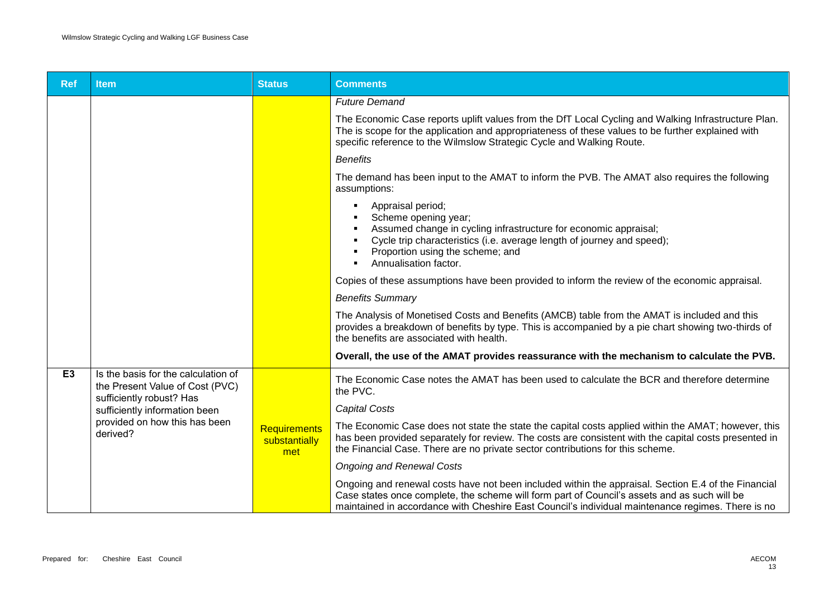| <b>Ref</b>     | ltem                                                                                                                                                                             | <b>Status</b>                               | <b>Comments</b>                                                                                                                                                                                                                                                                                          |
|----------------|----------------------------------------------------------------------------------------------------------------------------------------------------------------------------------|---------------------------------------------|----------------------------------------------------------------------------------------------------------------------------------------------------------------------------------------------------------------------------------------------------------------------------------------------------------|
|                |                                                                                                                                                                                  |                                             | <b>Future Demand</b>                                                                                                                                                                                                                                                                                     |
|                |                                                                                                                                                                                  |                                             | The Economic Case reports uplift values from the DfT Local Cycling and Walking Infrastructure Plan.<br>The is scope for the application and appropriateness of these values to be further explained with<br>specific reference to the Wilmslow Strategic Cycle and Walking Route.                        |
|                |                                                                                                                                                                                  |                                             | <b>Benefits</b>                                                                                                                                                                                                                                                                                          |
|                |                                                                                                                                                                                  |                                             | The demand has been input to the AMAT to inform the PVB. The AMAT also requires the following<br>assumptions:                                                                                                                                                                                            |
|                |                                                                                                                                                                                  |                                             | Appraisal period;<br>Scheme opening year;<br>Assumed change in cycling infrastructure for economic appraisal;<br>Cycle trip characteristics (i.e. average length of journey and speed);<br>Proportion using the scheme; and<br>Annualisation factor.                                                     |
|                |                                                                                                                                                                                  |                                             | Copies of these assumptions have been provided to inform the review of the economic appraisal.                                                                                                                                                                                                           |
|                |                                                                                                                                                                                  |                                             | <b>Benefits Summary</b>                                                                                                                                                                                                                                                                                  |
|                |                                                                                                                                                                                  |                                             | The Analysis of Monetised Costs and Benefits (AMCB) table from the AMAT is included and this<br>provides a breakdown of benefits by type. This is accompanied by a pie chart showing two-thirds of<br>the benefits are associated with health.                                                           |
|                |                                                                                                                                                                                  |                                             | Overall, the use of the AMAT provides reassurance with the mechanism to calculate the PVB.                                                                                                                                                                                                               |
| E <sub>3</sub> | Is the basis for the calculation of<br>the Present Value of Cost (PVC)<br>sufficiently robust? Has<br>sufficiently information been<br>provided on how this has been<br>derived? |                                             | The Economic Case notes the AMAT has been used to calculate the BCR and therefore determine<br>the PVC.                                                                                                                                                                                                  |
|                |                                                                                                                                                                                  | <b>Requirements</b><br>substantially<br>met | <b>Capital Costs</b>                                                                                                                                                                                                                                                                                     |
|                |                                                                                                                                                                                  |                                             | The Economic Case does not state the state the capital costs applied within the AMAT; however, this<br>has been provided separately for review. The costs are consistent with the capital costs presented in<br>the Financial Case. There are no private sector contributions for this scheme.           |
|                |                                                                                                                                                                                  |                                             | <b>Ongoing and Renewal Costs</b>                                                                                                                                                                                                                                                                         |
|                |                                                                                                                                                                                  |                                             | Ongoing and renewal costs have not been included within the appraisal. Section E.4 of the Financial<br>Case states once complete, the scheme will form part of Council's assets and as such will be<br>maintained in accordance with Cheshire East Council's individual maintenance regimes. There is no |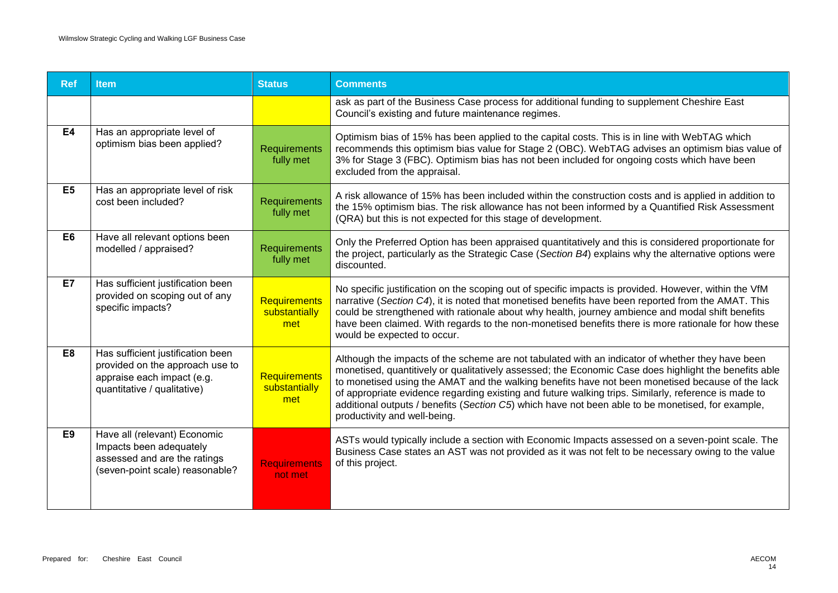| <b>Ref</b>     | <b>Item</b>                                                                                                                       | <b>Status</b>                        | <b>Comments</b>                                                                                                                                                                                                                                                                                                                                                                                                                                                                                                                                            |
|----------------|-----------------------------------------------------------------------------------------------------------------------------------|--------------------------------------|------------------------------------------------------------------------------------------------------------------------------------------------------------------------------------------------------------------------------------------------------------------------------------------------------------------------------------------------------------------------------------------------------------------------------------------------------------------------------------------------------------------------------------------------------------|
|                |                                                                                                                                   |                                      | ask as part of the Business Case process for additional funding to supplement Cheshire East<br>Council's existing and future maintenance regimes.                                                                                                                                                                                                                                                                                                                                                                                                          |
| <b>E4</b>      | Has an appropriate level of<br>optimism bias been applied?                                                                        | <b>Requirements</b><br>fully met     | Optimism bias of 15% has been applied to the capital costs. This is in line with WebTAG which<br>recommends this optimism bias value for Stage 2 (OBC). WebTAG advises an optimism bias value of<br>3% for Stage 3 (FBC). Optimism bias has not been included for ongoing costs which have been<br>excluded from the appraisal.                                                                                                                                                                                                                            |
| E <sub>5</sub> | Has an appropriate level of risk<br>cost been included?                                                                           | Requirements<br>fully met            | A risk allowance of 15% has been included within the construction costs and is applied in addition to<br>the 15% optimism bias. The risk allowance has not been informed by a Quantified Risk Assessment<br>(QRA) but this is not expected for this stage of development.                                                                                                                                                                                                                                                                                  |
| E <sub>6</sub> | Have all relevant options been<br>modelled / appraised?                                                                           | Requirements<br>fully met            | Only the Preferred Option has been appraised quantitatively and this is considered proportionate for<br>the project, particularly as the Strategic Case (Section B4) explains why the alternative options were<br>discounted.                                                                                                                                                                                                                                                                                                                              |
| E7             | Has sufficient justification been<br>provided on scoping out of any<br>specific impacts?                                          | Requirements<br>substantially<br>met | No specific justification on the scoping out of specific impacts is provided. However, within the VfM<br>narrative (Section C4), it is noted that monetised benefits have been reported from the AMAT. This<br>could be strengthened with rationale about why health, journey ambience and modal shift benefits<br>have been claimed. With regards to the non-monetised benefits there is more rationale for how these<br>would be expected to occur.                                                                                                      |
| E8             | Has sufficient justification been<br>provided on the approach use to<br>appraise each impact (e.g.<br>quantitative / qualitative) | Requirements<br>substantially<br>met | Although the impacts of the scheme are not tabulated with an indicator of whether they have been<br>monetised, quantitively or qualitatively assessed; the Economic Case does highlight the benefits able<br>to monetised using the AMAT and the walking benefits have not been monetised because of the lack<br>of appropriate evidence regarding existing and future walking trips. Similarly, reference is made to<br>additional outputs / benefits (Section C5) which have not been able to be monetised, for example,<br>productivity and well-being. |
| E <sub>9</sub> | Have all (relevant) Economic<br>Impacts been adequately<br>assessed and are the ratings<br>(seven-point scale) reasonable?        | <b>Requirements</b><br>not met       | ASTs would typically include a section with Economic Impacts assessed on a seven-point scale. The<br>Business Case states an AST was not provided as it was not felt to be necessary owing to the value<br>of this project.                                                                                                                                                                                                                                                                                                                                |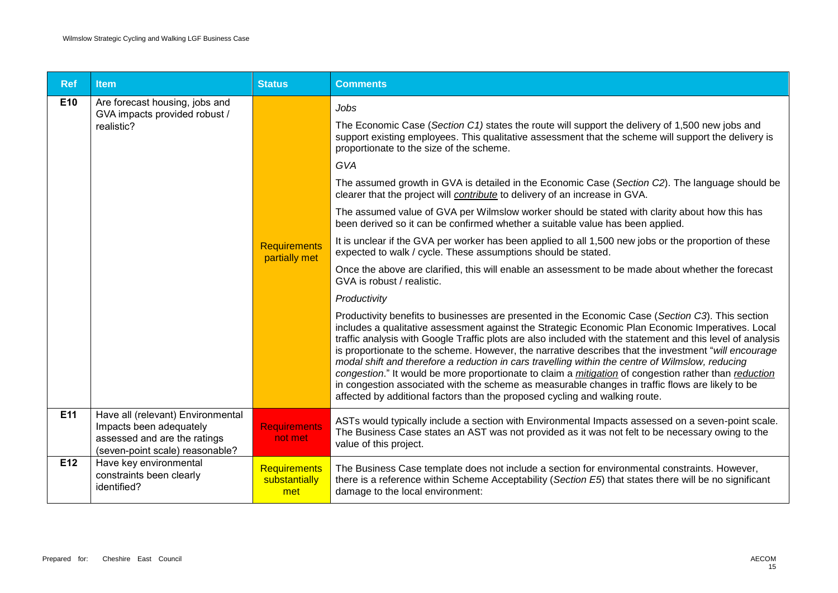| <b>Ref</b>      | <b>Item</b>                                                                                                                     | <b>Status</b>                               | <b>Comments</b>                                                                                                                                                                                                                                                                                                                                                                                                                                                                                                                                                                                                                                                                                                                                                                                                                                                                                                                                                                                                                                                                                                                                                                                                                                                                                                                                                                                                                                                                                                                                                                                                                                                                                                                                                                                                     |
|-----------------|---------------------------------------------------------------------------------------------------------------------------------|---------------------------------------------|---------------------------------------------------------------------------------------------------------------------------------------------------------------------------------------------------------------------------------------------------------------------------------------------------------------------------------------------------------------------------------------------------------------------------------------------------------------------------------------------------------------------------------------------------------------------------------------------------------------------------------------------------------------------------------------------------------------------------------------------------------------------------------------------------------------------------------------------------------------------------------------------------------------------------------------------------------------------------------------------------------------------------------------------------------------------------------------------------------------------------------------------------------------------------------------------------------------------------------------------------------------------------------------------------------------------------------------------------------------------------------------------------------------------------------------------------------------------------------------------------------------------------------------------------------------------------------------------------------------------------------------------------------------------------------------------------------------------------------------------------------------------------------------------------------------------|
| E <sub>10</sub> | Are forecast housing, jobs and<br>GVA impacts provided robust /<br>realistic?                                                   | <b>Requirements</b><br>partially met        | Jobs<br>The Economic Case (Section C1) states the route will support the delivery of 1,500 new jobs and<br>support existing employees. This qualitative assessment that the scheme will support the delivery is<br>proportionate to the size of the scheme.<br>GVA<br>The assumed growth in GVA is detailed in the Economic Case (Section C2). The language should be<br>clearer that the project will contribute to delivery of an increase in GVA.<br>The assumed value of GVA per Wilmslow worker should be stated with clarity about how this has<br>been derived so it can be confirmed whether a suitable value has been applied.<br>It is unclear if the GVA per worker has been applied to all 1,500 new jobs or the proportion of these<br>expected to walk / cycle. These assumptions should be stated.<br>Once the above are clarified, this will enable an assessment to be made about whether the forecast<br>GVA is robust / realistic.<br>Productivity<br>Productivity benefits to businesses are presented in the Economic Case (Section C3). This section<br>includes a qualitative assessment against the Strategic Economic Plan Economic Imperatives. Local<br>traffic analysis with Google Traffic plots are also included with the statement and this level of analysis<br>is proportionate to the scheme. However, the narrative describes that the investment "will encourage<br>modal shift and therefore a reduction in cars travelling within the centre of Wilmslow, reducing<br>congestion." It would be more proportionate to claim a <i>mitigation</i> of congestion rather than <i>reduction</i><br>in congestion associated with the scheme as measurable changes in traffic flows are likely to be<br>affected by additional factors than the proposed cycling and walking route. |
| E11             | Have all (relevant) Environmental<br>Impacts been adequately<br>assessed and are the ratings<br>(seven-point scale) reasonable? | <b>Requirements</b><br>not met              | ASTs would typically include a section with Environmental Impacts assessed on a seven-point scale.<br>The Business Case states an AST was not provided as it was not felt to be necessary owing to the<br>value of this project.                                                                                                                                                                                                                                                                                                                                                                                                                                                                                                                                                                                                                                                                                                                                                                                                                                                                                                                                                                                                                                                                                                                                                                                                                                                                                                                                                                                                                                                                                                                                                                                    |
| E12             | Have key environmental<br>constraints been clearly<br>identified?                                                               | <b>Requirements</b><br>substantially<br>met | The Business Case template does not include a section for environmental constraints. However,<br>there is a reference within Scheme Acceptability (Section E5) that states there will be no significant<br>damage to the local environment:                                                                                                                                                                                                                                                                                                                                                                                                                                                                                                                                                                                                                                                                                                                                                                                                                                                                                                                                                                                                                                                                                                                                                                                                                                                                                                                                                                                                                                                                                                                                                                         |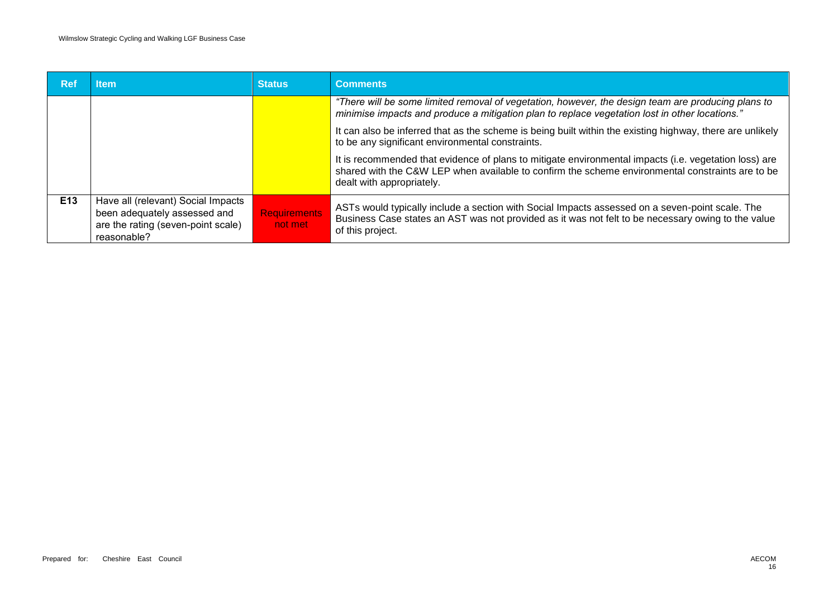| Ref             | ltem                                                                                                                    | <b>Status</b>                  | <b>Comments</b>                                                                                                                                                                                                                        |
|-----------------|-------------------------------------------------------------------------------------------------------------------------|--------------------------------|----------------------------------------------------------------------------------------------------------------------------------------------------------------------------------------------------------------------------------------|
|                 |                                                                                                                         |                                | "There will be some limited removal of vegetation, however, the design team are producing plans to<br>minimise impacts and produce a mitigation plan to replace vegetation lost in other locations."                                   |
|                 |                                                                                                                         |                                | It can also be inferred that as the scheme is being built within the existing highway, there are unlikely<br>to be any significant environmental constraints.                                                                          |
|                 |                                                                                                                         |                                | It is recommended that evidence of plans to mitigate environmental impacts (i.e. vegetation loss) are<br>shared with the C&W LEP when available to confirm the scheme environmental constraints are to be<br>dealt with appropriately. |
| E <sub>13</sub> | Have all (relevant) Social Impacts<br>been adequately assessed and<br>are the rating (seven-point scale)<br>reasonable? | <b>Requirements</b><br>not met | ASTs would typically include a section with Social Impacts assessed on a seven-point scale. The<br>Business Case states an AST was not provided as it was not felt to be necessary owing to the value<br>of this project.              |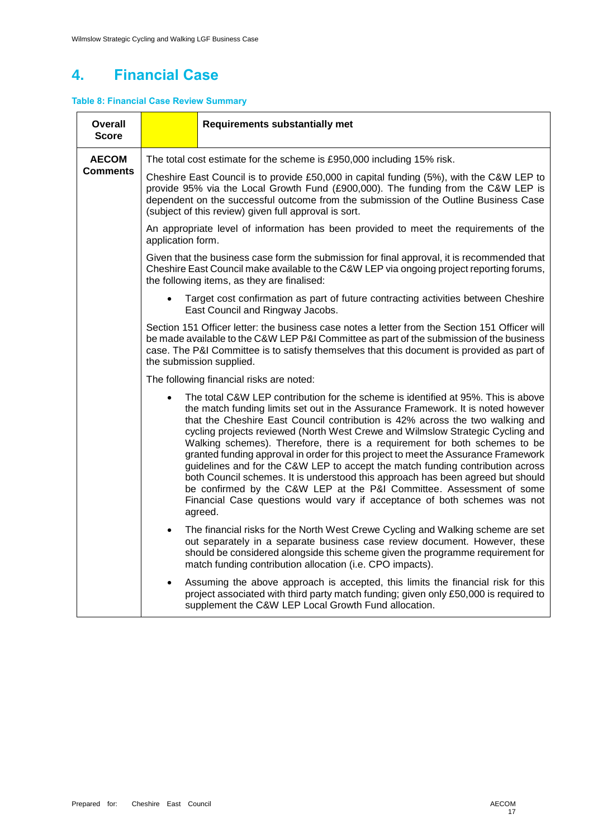# **4. Financial Case**

### **Table 8: Financial Case Review Summary**

| Overall<br><b>Score</b> |                                          | <b>Requirements substantially met</b>                                                                                                                                                                                                                                                                                                                                                                                                                                                                                                                                                                                                                                                                                                                                                                                                             |  |  |  |
|-------------------------|------------------------------------------|---------------------------------------------------------------------------------------------------------------------------------------------------------------------------------------------------------------------------------------------------------------------------------------------------------------------------------------------------------------------------------------------------------------------------------------------------------------------------------------------------------------------------------------------------------------------------------------------------------------------------------------------------------------------------------------------------------------------------------------------------------------------------------------------------------------------------------------------------|--|--|--|
| <b>AECOM</b>            |                                          | The total cost estimate for the scheme is £950,000 including 15% risk.                                                                                                                                                                                                                                                                                                                                                                                                                                                                                                                                                                                                                                                                                                                                                                            |  |  |  |
| <b>Comments</b>         |                                          | Cheshire East Council is to provide £50,000 in capital funding (5%), with the C&W LEP to<br>provide 95% via the Local Growth Fund (£900,000). The funding from the C&W LEP is<br>dependent on the successful outcome from the submission of the Outline Business Case<br>(subject of this review) given full approval is sort.                                                                                                                                                                                                                                                                                                                                                                                                                                                                                                                    |  |  |  |
|                         | application form.                        | An appropriate level of information has been provided to meet the requirements of the                                                                                                                                                                                                                                                                                                                                                                                                                                                                                                                                                                                                                                                                                                                                                             |  |  |  |
|                         |                                          | Given that the business case form the submission for final approval, it is recommended that<br>Cheshire East Council make available to the C&W LEP via ongoing project reporting forums,<br>the following items, as they are finalised:                                                                                                                                                                                                                                                                                                                                                                                                                                                                                                                                                                                                           |  |  |  |
|                         |                                          | Target cost confirmation as part of future contracting activities between Cheshire<br>East Council and Ringway Jacobs.                                                                                                                                                                                                                                                                                                                                                                                                                                                                                                                                                                                                                                                                                                                            |  |  |  |
|                         |                                          | Section 151 Officer letter: the business case notes a letter from the Section 151 Officer will<br>be made available to the C&W LEP P&I Committee as part of the submission of the business<br>case. The P&I Committee is to satisfy themselves that this document is provided as part of<br>the submission supplied.                                                                                                                                                                                                                                                                                                                                                                                                                                                                                                                              |  |  |  |
|                         | The following financial risks are noted: |                                                                                                                                                                                                                                                                                                                                                                                                                                                                                                                                                                                                                                                                                                                                                                                                                                                   |  |  |  |
|                         |                                          | The total C&W LEP contribution for the scheme is identified at 95%. This is above<br>the match funding limits set out in the Assurance Framework. It is noted however<br>that the Cheshire East Council contribution is 42% across the two walking and<br>cycling projects reviewed (North West Crewe and Wilmslow Strategic Cycling and<br>Walking schemes). Therefore, there is a requirement for both schemes to be<br>granted funding approval in order for this project to meet the Assurance Framework<br>guidelines and for the C&W LEP to accept the match funding contribution across<br>both Council schemes. It is understood this approach has been agreed but should<br>be confirmed by the C&W LEP at the P&I Committee. Assessment of some<br>Financial Case questions would vary if acceptance of both schemes was not<br>agreed. |  |  |  |
|                         |                                          | The financial risks for the North West Crewe Cycling and Walking scheme are set<br>out separately in a separate business case review document. However, these<br>should be considered alongside this scheme given the programme requirement for<br>match funding contribution allocation (i.e. CPO impacts).                                                                                                                                                                                                                                                                                                                                                                                                                                                                                                                                      |  |  |  |
|                         | $\bullet$                                | Assuming the above approach is accepted, this limits the financial risk for this<br>project associated with third party match funding; given only £50,000 is required to<br>supplement the C&W LEP Local Growth Fund allocation.                                                                                                                                                                                                                                                                                                                                                                                                                                                                                                                                                                                                                  |  |  |  |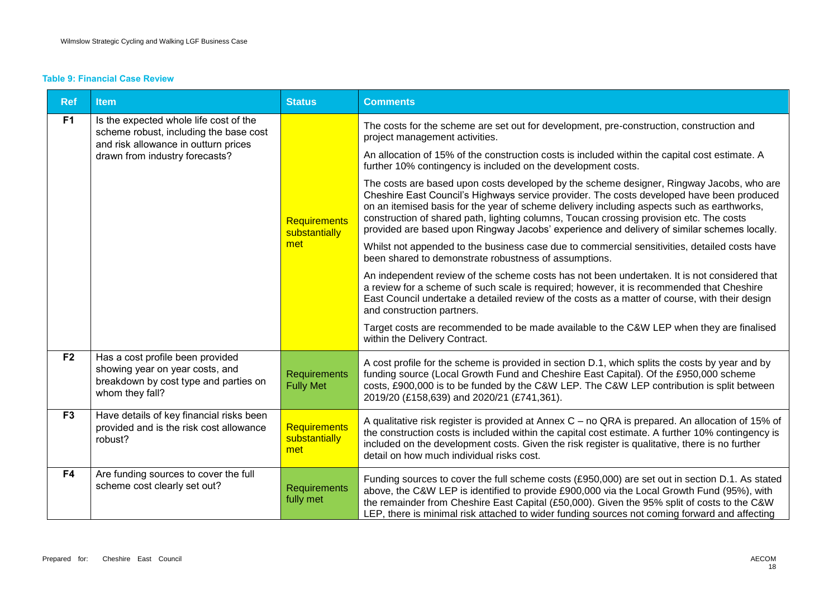#### **Table 9: Financial Case Review**

| <b>Ref</b>     | <b>Item</b>                                                                                                                     | <b>Status</b>                               | <b>Comments</b>                                                                                                                                                                                                                                                                                                                                                                                                                                                               |
|----------------|---------------------------------------------------------------------------------------------------------------------------------|---------------------------------------------|-------------------------------------------------------------------------------------------------------------------------------------------------------------------------------------------------------------------------------------------------------------------------------------------------------------------------------------------------------------------------------------------------------------------------------------------------------------------------------|
| F <sub>1</sub> | Is the expected whole life cost of the<br>scheme robust, including the base cost                                                |                                             | The costs for the scheme are set out for development, pre-construction, construction and<br>project management activities.                                                                                                                                                                                                                                                                                                                                                    |
|                | and risk allowance in outturn prices<br>drawn from industry forecasts?                                                          |                                             | An allocation of 15% of the construction costs is included within the capital cost estimate. A<br>further 10% contingency is included on the development costs.                                                                                                                                                                                                                                                                                                               |
|                |                                                                                                                                 | <b>Requirements</b><br>substantially        | The costs are based upon costs developed by the scheme designer, Ringway Jacobs, who are<br>Cheshire East Council's Highways service provider. The costs developed have been produced<br>on an itemised basis for the year of scheme delivery including aspects such as earthworks,<br>construction of shared path, lighting columns, Toucan crossing provision etc. The costs<br>provided are based upon Ringway Jacobs' experience and delivery of similar schemes locally. |
|                |                                                                                                                                 | met                                         | Whilst not appended to the business case due to commercial sensitivities, detailed costs have<br>been shared to demonstrate robustness of assumptions.                                                                                                                                                                                                                                                                                                                        |
|                |                                                                                                                                 |                                             | An independent review of the scheme costs has not been undertaken. It is not considered that<br>a review for a scheme of such scale is required; however, it is recommended that Cheshire<br>East Council undertake a detailed review of the costs as a matter of course, with their design<br>and construction partners.                                                                                                                                                     |
|                |                                                                                                                                 |                                             | Target costs are recommended to be made available to the C&W LEP when they are finalised<br>within the Delivery Contract.                                                                                                                                                                                                                                                                                                                                                     |
| F2             | Has a cost profile been provided<br>showing year on year costs, and<br>breakdown by cost type and parties on<br>whom they fall? | <b>Requirements</b><br><b>Fully Met</b>     | A cost profile for the scheme is provided in section D.1, which splits the costs by year and by<br>funding source (Local Growth Fund and Cheshire East Capital). Of the £950,000 scheme<br>costs, £900,000 is to be funded by the C&W LEP. The C&W LEP contribution is split between<br>2019/20 (£158,639) and 2020/21 (£741,361).                                                                                                                                            |
| F <sub>3</sub> | Have details of key financial risks been<br>provided and is the risk cost allowance<br>robust?                                  | <b>Requirements</b><br>substantially<br>met | A qualitative risk register is provided at Annex C - no QRA is prepared. An allocation of 15% of<br>the construction costs is included within the capital cost estimate. A further 10% contingency is<br>included on the development costs. Given the risk register is qualitative, there is no further<br>detail on how much individual risks cost.                                                                                                                          |
| F <sub>4</sub> | Are funding sources to cover the full<br>scheme cost clearly set out?                                                           | <b>Requirements</b><br>fully met            | Funding sources to cover the full scheme costs (£950,000) are set out in section D.1. As stated<br>above, the C&W LEP is identified to provide £900,000 via the Local Growth Fund (95%), with<br>the remainder from Cheshire East Capital (£50,000). Given the 95% split of costs to the C&W<br>LEP, there is minimal risk attached to wider funding sources not coming forward and affecting                                                                                 |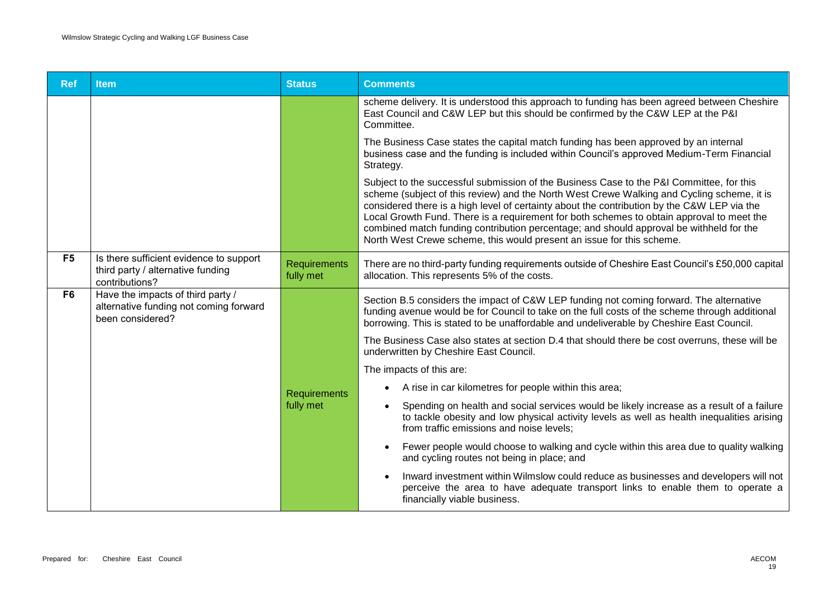| <b>Ref</b>     | <b>Item</b>                                                                                     | <b>Status</b>                    | <b>Comments</b>                                                                                                                                                                                                                                                                                                                                                                                                                                                                                                                                        |
|----------------|-------------------------------------------------------------------------------------------------|----------------------------------|--------------------------------------------------------------------------------------------------------------------------------------------------------------------------------------------------------------------------------------------------------------------------------------------------------------------------------------------------------------------------------------------------------------------------------------------------------------------------------------------------------------------------------------------------------|
|                |                                                                                                 |                                  | scheme delivery. It is understood this approach to funding has been agreed between Cheshire<br>East Council and C&W LEP but this should be confirmed by the C&W LEP at the P&I<br>Committee.                                                                                                                                                                                                                                                                                                                                                           |
|                |                                                                                                 |                                  | The Business Case states the capital match funding has been approved by an internal<br>business case and the funding is included within Council's approved Medium-Term Financial<br>Strategy.                                                                                                                                                                                                                                                                                                                                                          |
|                |                                                                                                 |                                  | Subject to the successful submission of the Business Case to the P&I Committee, for this<br>scheme (subject of this review) and the North West Crewe Walking and Cycling scheme, it is<br>considered there is a high level of certainty about the contribution by the C&W LEP via the<br>Local Growth Fund. There is a requirement for both schemes to obtain approval to meet the<br>combined match funding contribution percentage; and should approval be withheld for the<br>North West Crewe scheme, this would present an issue for this scheme. |
| F <sub>5</sub> | Is there sufficient evidence to support<br>third party / alternative funding<br>contributions?  | <b>Requirements</b><br>fully met | There are no third-party funding requirements outside of Cheshire East Council's £50,000 capital<br>allocation. This represents 5% of the costs.                                                                                                                                                                                                                                                                                                                                                                                                       |
| F <sub>6</sub> | Have the impacts of third party /<br>alternative funding not coming forward<br>been considered? |                                  | Section B.5 considers the impact of C&W LEP funding not coming forward. The alternative<br>funding avenue would be for Council to take on the full costs of the scheme through additional<br>borrowing. This is stated to be unaffordable and undeliverable by Cheshire East Council.                                                                                                                                                                                                                                                                  |
|                |                                                                                                 |                                  | The Business Case also states at section D.4 that should there be cost overruns, these will be<br>underwritten by Cheshire East Council.                                                                                                                                                                                                                                                                                                                                                                                                               |
|                |                                                                                                 |                                  | The impacts of this are:                                                                                                                                                                                                                                                                                                                                                                                                                                                                                                                               |
|                |                                                                                                 | <b>Requirements</b>              | A rise in car kilometres for people within this area;                                                                                                                                                                                                                                                                                                                                                                                                                                                                                                  |
|                |                                                                                                 | fully met                        | Spending on health and social services would be likely increase as a result of a failure<br>to tackle obesity and low physical activity levels as well as health inequalities arising<br>from traffic emissions and noise levels;                                                                                                                                                                                                                                                                                                                      |
|                |                                                                                                 |                                  | Fewer people would choose to walking and cycle within this area due to quality walking<br>and cycling routes not being in place; and                                                                                                                                                                                                                                                                                                                                                                                                                   |
|                |                                                                                                 |                                  | Inward investment within Wilmslow could reduce as businesses and developers will not<br>perceive the area to have adequate transport links to enable them to operate a<br>financially viable business.                                                                                                                                                                                                                                                                                                                                                 |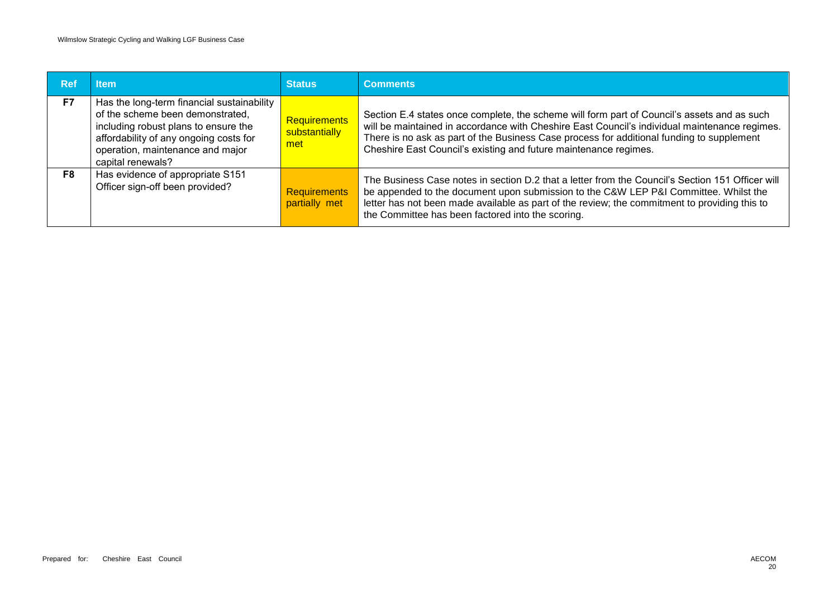| <b>Ref</b>     | <b>Item</b>                                                                                                                                                                                                               | <b>Status</b>                               | <b>Comments</b>                                                                                                                                                                                                                                                                                                                                               |
|----------------|---------------------------------------------------------------------------------------------------------------------------------------------------------------------------------------------------------------------------|---------------------------------------------|---------------------------------------------------------------------------------------------------------------------------------------------------------------------------------------------------------------------------------------------------------------------------------------------------------------------------------------------------------------|
| F7             | Has the long-term financial sustainability<br>of the scheme been demonstrated,<br>including robust plans to ensure the<br>affordability of any ongoing costs for<br>operation, maintenance and major<br>capital renewals? | <b>Requirements</b><br>substantially<br>met | Section E.4 states once complete, the scheme will form part of Council's assets and as such<br>will be maintained in accordance with Cheshire East Council's individual maintenance regimes.<br>There is no ask as part of the Business Case process for additional funding to supplement<br>Cheshire East Council's existing and future maintenance regimes. |
| F <sub>8</sub> | Has evidence of appropriate S151<br>Officer sign-off been provided?                                                                                                                                                       | <b>Requirements</b><br>partially met        | The Business Case notes in section D.2 that a letter from the Council's Section 151 Officer will<br>be appended to the document upon submission to the C&W LEP P&I Committee. Whilst the<br>letter has not been made available as part of the review; the commitment to providing this to<br>the Committee has been factored into the scoring.                |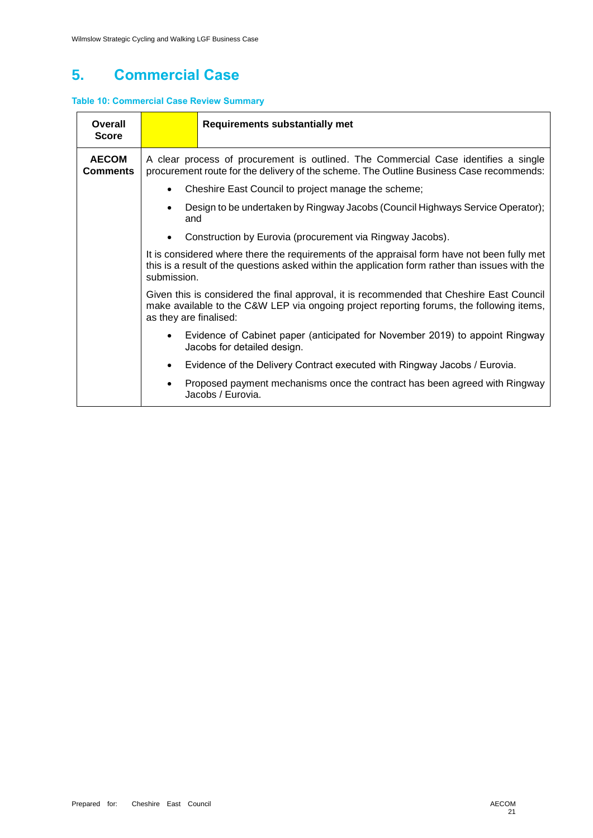## **5. Commercial Case**

### **Table 10: Commercial Case Review Summary**

| <b>Overall</b><br><b>Score</b>  |                                                                                                                                                                                                                 | <b>Requirements substantially met</b>                                                                                                                                          |  |  |  |  |  |
|---------------------------------|-----------------------------------------------------------------------------------------------------------------------------------------------------------------------------------------------------------------|--------------------------------------------------------------------------------------------------------------------------------------------------------------------------------|--|--|--|--|--|
| <b>AECOM</b><br><b>Comments</b> |                                                                                                                                                                                                                 | A clear process of procurement is outlined. The Commercial Case identifies a single<br>procurement route for the delivery of the scheme. The Outline Business Case recommends: |  |  |  |  |  |
|                                 |                                                                                                                                                                                                                 | Cheshire East Council to project manage the scheme;                                                                                                                            |  |  |  |  |  |
|                                 | and                                                                                                                                                                                                             | Design to be undertaken by Ringway Jacobs (Council Highways Service Operator);                                                                                                 |  |  |  |  |  |
|                                 |                                                                                                                                                                                                                 | Construction by Eurovia (procurement via Ringway Jacobs).                                                                                                                      |  |  |  |  |  |
|                                 | It is considered where there the requirements of the appraisal form have not been fully met<br>this is a result of the questions asked within the application form rather than issues with the<br>submission.   |                                                                                                                                                                                |  |  |  |  |  |
|                                 | Given this is considered the final approval, it is recommended that Cheshire East Council<br>make available to the C&W LEP via ongoing project reporting forums, the following items,<br>as they are finalised: |                                                                                                                                                                                |  |  |  |  |  |
|                                 | Evidence of Cabinet paper (anticipated for November 2019) to appoint Ringway<br>Jacobs for detailed design.                                                                                                     |                                                                                                                                                                                |  |  |  |  |  |
|                                 | Evidence of the Delivery Contract executed with Ringway Jacobs / Eurovia.                                                                                                                                       |                                                                                                                                                                                |  |  |  |  |  |
|                                 |                                                                                                                                                                                                                 | Proposed payment mechanisms once the contract has been agreed with Ringway<br>Jacobs / Eurovia.                                                                                |  |  |  |  |  |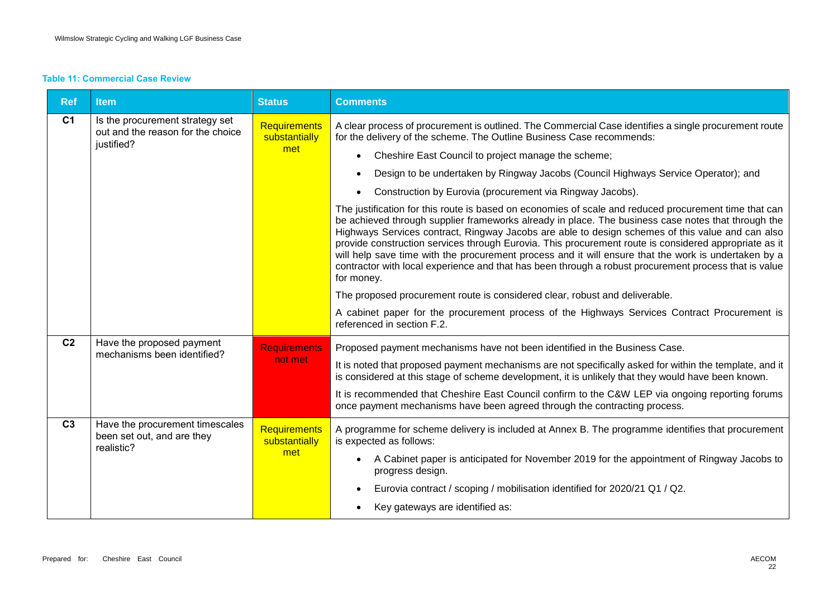#### **Table 11: Commercial Case Review**

| <b>Ref</b>     | <b>Item</b>                                                                        | <b>Status</b>                        | <b>Comments</b>                                                                                                                                                                                                                                                                                                                                                                                                                                                                                                                                                                                                                                         |
|----------------|------------------------------------------------------------------------------------|--------------------------------------|---------------------------------------------------------------------------------------------------------------------------------------------------------------------------------------------------------------------------------------------------------------------------------------------------------------------------------------------------------------------------------------------------------------------------------------------------------------------------------------------------------------------------------------------------------------------------------------------------------------------------------------------------------|
| C <sub>1</sub> | Is the procurement strategy set<br>out and the reason for the choice<br>justified? | Requirements<br>substantially        | A clear process of procurement is outlined. The Commercial Case identifies a single procurement route<br>for the delivery of the scheme. The Outline Business Case recommends:                                                                                                                                                                                                                                                                                                                                                                                                                                                                          |
|                |                                                                                    | met                                  | Cheshire East Council to project manage the scheme;<br>$\bullet$                                                                                                                                                                                                                                                                                                                                                                                                                                                                                                                                                                                        |
|                |                                                                                    |                                      | Design to be undertaken by Ringway Jacobs (Council Highways Service Operator); and<br>$\bullet$                                                                                                                                                                                                                                                                                                                                                                                                                                                                                                                                                         |
|                |                                                                                    |                                      | Construction by Eurovia (procurement via Ringway Jacobs).                                                                                                                                                                                                                                                                                                                                                                                                                                                                                                                                                                                               |
|                |                                                                                    |                                      | The justification for this route is based on economies of scale and reduced procurement time that can<br>be achieved through supplier frameworks already in place. The business case notes that through the<br>Highways Services contract, Ringway Jacobs are able to design schemes of this value and can also<br>provide construction services through Eurovia. This procurement route is considered appropriate as it<br>will help save time with the procurement process and it will ensure that the work is undertaken by a<br>contractor with local experience and that has been through a robust procurement process that is value<br>for money. |
|                |                                                                                    |                                      | The proposed procurement route is considered clear, robust and deliverable.                                                                                                                                                                                                                                                                                                                                                                                                                                                                                                                                                                             |
|                |                                                                                    |                                      | A cabinet paper for the procurement process of the Highways Services Contract Procurement is<br>referenced in section F.2.                                                                                                                                                                                                                                                                                                                                                                                                                                                                                                                              |
| C <sub>2</sub> | Have the proposed payment<br>mechanisms been identified?                           | <b>Requirements</b>                  | Proposed payment mechanisms have not been identified in the Business Case.                                                                                                                                                                                                                                                                                                                                                                                                                                                                                                                                                                              |
|                |                                                                                    | not met                              | It is noted that proposed payment mechanisms are not specifically asked for within the template, and it<br>is considered at this stage of scheme development, it is unlikely that they would have been known.                                                                                                                                                                                                                                                                                                                                                                                                                                           |
|                |                                                                                    |                                      | It is recommended that Cheshire East Council confirm to the C&W LEP via ongoing reporting forums<br>once payment mechanisms have been agreed through the contracting process.                                                                                                                                                                                                                                                                                                                                                                                                                                                                           |
| C <sub>3</sub> | Have the procurement timescales<br>been set out, and are they<br>realistic?        | <b>Requirements</b><br>substantially | A programme for scheme delivery is included at Annex B. The programme identifies that procurement<br>is expected as follows:                                                                                                                                                                                                                                                                                                                                                                                                                                                                                                                            |
|                |                                                                                    | met                                  | A Cabinet paper is anticipated for November 2019 for the appointment of Ringway Jacobs to<br>$\bullet$<br>progress design.                                                                                                                                                                                                                                                                                                                                                                                                                                                                                                                              |
|                |                                                                                    |                                      | Eurovia contract / scoping / mobilisation identified for 2020/21 Q1 / Q2.                                                                                                                                                                                                                                                                                                                                                                                                                                                                                                                                                                               |
|                |                                                                                    |                                      | Key gateways are identified as:                                                                                                                                                                                                                                                                                                                                                                                                                                                                                                                                                                                                                         |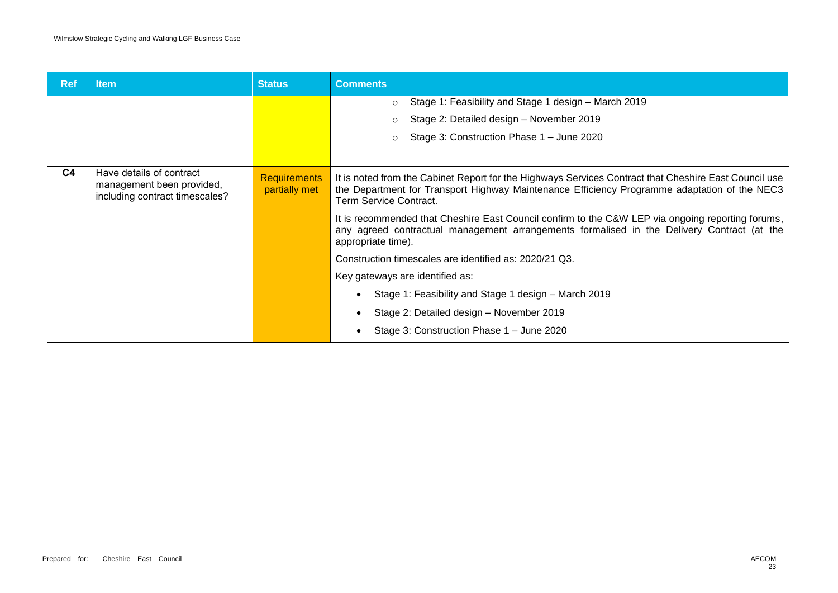| <b>Ref</b>     | <b>Item</b>                                                                             | <b>Status</b>                        | <b>Comments</b>                                                                                                                                                                                                                 |
|----------------|-----------------------------------------------------------------------------------------|--------------------------------------|---------------------------------------------------------------------------------------------------------------------------------------------------------------------------------------------------------------------------------|
|                |                                                                                         |                                      | Stage 1: Feasibility and Stage 1 design - March 2019<br>$\circ$                                                                                                                                                                 |
|                |                                                                                         |                                      | Stage 2: Detailed design - November 2019                                                                                                                                                                                        |
|                |                                                                                         |                                      | Stage 3: Construction Phase 1 - June 2020                                                                                                                                                                                       |
|                |                                                                                         |                                      |                                                                                                                                                                                                                                 |
| C <sub>4</sub> | Have details of contract<br>management been provided,<br>including contract timescales? | <b>Requirements</b><br>partially met | It is noted from the Cabinet Report for the Highways Services Contract that Cheshire East Council use<br>the Department for Transport Highway Maintenance Efficiency Programme adaptation of the NEC3<br>Term Service Contract. |
|                |                                                                                         |                                      | It is recommended that Cheshire East Council confirm to the C&W LEP via ongoing reporting forums,<br>any agreed contractual management arrangements formalised in the Delivery Contract (at the<br>appropriate time).           |
|                |                                                                                         |                                      | Construction timescales are identified as: 2020/21 Q3.                                                                                                                                                                          |
|                |                                                                                         |                                      | Key gateways are identified as:                                                                                                                                                                                                 |
|                |                                                                                         |                                      | Stage 1: Feasibility and Stage 1 design - March 2019                                                                                                                                                                            |
|                |                                                                                         |                                      | Stage 2: Detailed design - November 2019                                                                                                                                                                                        |
|                |                                                                                         |                                      | Stage 3: Construction Phase 1 - June 2020                                                                                                                                                                                       |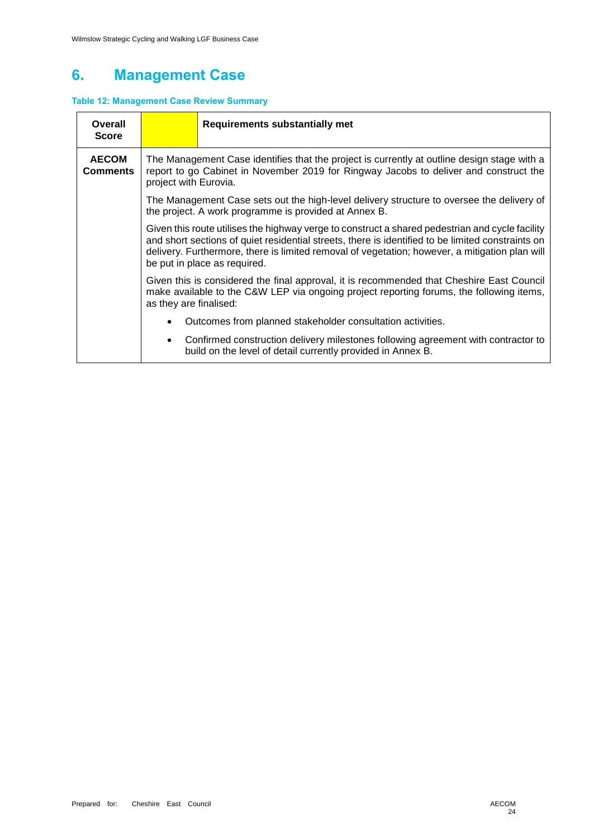# **6. Management Case**

### **Table 12: Management Case Review Summary**

| Overall<br><b>Score</b>         | <b>Requirements substantially met</b>                                                                                                                                                                                                                                                                                                  |  |  |  |  |  |
|---------------------------------|----------------------------------------------------------------------------------------------------------------------------------------------------------------------------------------------------------------------------------------------------------------------------------------------------------------------------------------|--|--|--|--|--|
| <b>AECOM</b><br><b>Comments</b> | The Management Case identifies that the project is currently at outline design stage with a<br>report to go Cabinet in November 2019 for Ringway Jacobs to deliver and construct the<br>project with Eurovia.                                                                                                                          |  |  |  |  |  |
|                                 | The Management Case sets out the high-level delivery structure to oversee the delivery of<br>the project. A work programme is provided at Annex B.                                                                                                                                                                                     |  |  |  |  |  |
|                                 | Given this route utilises the highway verge to construct a shared pedestrian and cycle facility<br>and short sections of quiet residential streets, there is identified to be limited constraints on<br>delivery. Furthermore, there is limited removal of vegetation; however, a mitigation plan will<br>be put in place as required. |  |  |  |  |  |
|                                 | Given this is considered the final approval, it is recommended that Cheshire East Council<br>make available to the C&W LEP via ongoing project reporting forums, the following items,<br>as they are finalised:                                                                                                                        |  |  |  |  |  |
|                                 | Outcomes from planned stakeholder consultation activities.                                                                                                                                                                                                                                                                             |  |  |  |  |  |
|                                 | Confirmed construction delivery milestones following agreement with contractor to<br>build on the level of detail currently provided in Annex B.                                                                                                                                                                                       |  |  |  |  |  |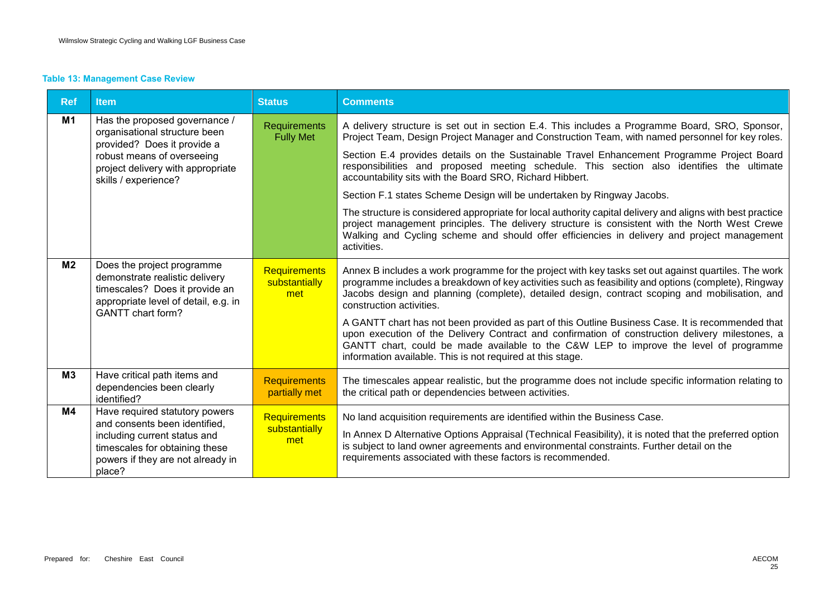### **Table 13: Management Case Review**

| <b>Ref</b>     | <b>Item</b>                                                                                                                                                                              | <b>Status</b>                               | <b>Comments</b>                                                                                                                                                                                                                                                                                                                                                                                                                                                                                                                                                                                                                                                                                                                                                                                                                                                 |
|----------------|------------------------------------------------------------------------------------------------------------------------------------------------------------------------------------------|---------------------------------------------|-----------------------------------------------------------------------------------------------------------------------------------------------------------------------------------------------------------------------------------------------------------------------------------------------------------------------------------------------------------------------------------------------------------------------------------------------------------------------------------------------------------------------------------------------------------------------------------------------------------------------------------------------------------------------------------------------------------------------------------------------------------------------------------------------------------------------------------------------------------------|
| <b>M1</b>      | Has the proposed governance /<br>organisational structure been<br>provided? Does it provide a<br>robust means of overseeing<br>project delivery with appropriate<br>skills / experience? | <b>Requirements</b><br><b>Fully Met</b>     | A delivery structure is set out in section E.4. This includes a Programme Board, SRO, Sponsor,<br>Project Team, Design Project Manager and Construction Team, with named personnel for key roles.<br>Section E.4 provides details on the Sustainable Travel Enhancement Programme Project Board<br>responsibilities and proposed meeting schedule. This section also identifies the ultimate<br>accountability sits with the Board SRO, Richard Hibbert.<br>Section F.1 states Scheme Design will be undertaken by Ringway Jacobs.<br>The structure is considered appropriate for local authority capital delivery and aligns with best practice<br>project management principles. The delivery structure is consistent with the North West Crewe<br>Walking and Cycling scheme and should offer efficiencies in delivery and project management<br>activities. |
| M <sub>2</sub> | Does the project programme<br>demonstrate realistic delivery<br>timescales? Does it provide an<br>appropriate level of detail, e.g. in<br><b>GANTT</b> chart form?                       | <b>Requirements</b><br>substantially<br>met | Annex B includes a work programme for the project with key tasks set out against quartiles. The work<br>programme includes a breakdown of key activities such as feasibility and options (complete), Ringway<br>Jacobs design and planning (complete), detailed design, contract scoping and mobilisation, and<br>construction activities.<br>A GANTT chart has not been provided as part of this Outline Business Case. It is recommended that<br>upon execution of the Delivery Contract and confirmation of construction delivery milestones, a<br>GANTT chart, could be made available to the C&W LEP to improve the level of programme<br>information available. This is not required at this stage.                                                                                                                                                       |
| M3             | Have critical path items and<br>dependencies been clearly<br>identified?                                                                                                                 | <b>Requirements</b><br>partially met        | The timescales appear realistic, but the programme does not include specific information relating to<br>the critical path or dependencies between activities.                                                                                                                                                                                                                                                                                                                                                                                                                                                                                                                                                                                                                                                                                                   |
| M4             | Have required statutory powers<br>and consents been identified,<br>including current status and<br>timescales for obtaining these<br>powers if they are not already in<br>place?         | <b>Requirements</b><br>substantially<br>met | No land acquisition requirements are identified within the Business Case.<br>In Annex D Alternative Options Appraisal (Technical Feasibility), it is noted that the preferred option<br>is subject to land owner agreements and environmental constraints. Further detail on the<br>requirements associated with these factors is recommended.                                                                                                                                                                                                                                                                                                                                                                                                                                                                                                                  |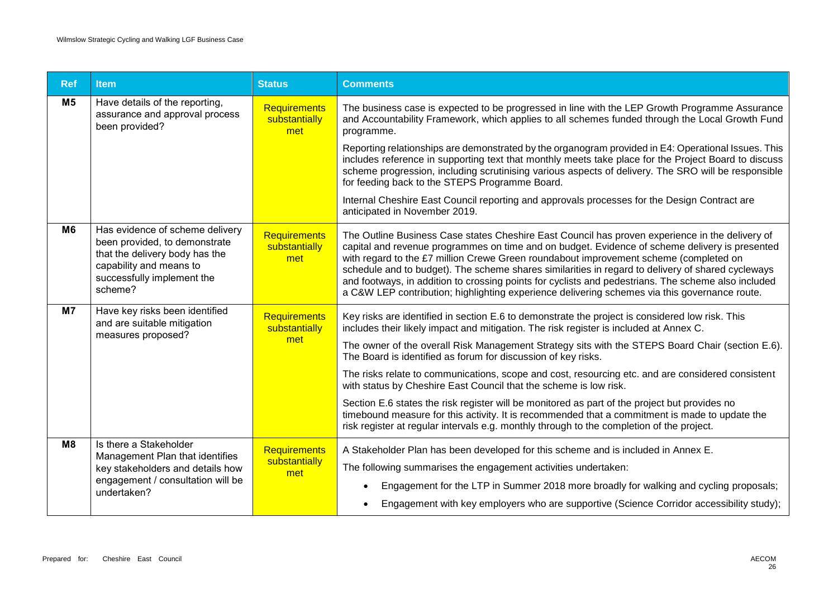| <b>Ref</b>     | <b>Item</b>                                                                                                                                                            | <b>Status</b>                               | <b>Comments</b>                                                                                                                                                                                                                                                                                                                                                                                                                                                                                                                                                                                         |
|----------------|------------------------------------------------------------------------------------------------------------------------------------------------------------------------|---------------------------------------------|---------------------------------------------------------------------------------------------------------------------------------------------------------------------------------------------------------------------------------------------------------------------------------------------------------------------------------------------------------------------------------------------------------------------------------------------------------------------------------------------------------------------------------------------------------------------------------------------------------|
| M <sub>5</sub> | Have details of the reporting,<br>assurance and approval process<br>been provided?                                                                                     | <b>Requirements</b><br>substantially<br>met | The business case is expected to be progressed in line with the LEP Growth Programme Assurance<br>and Accountability Framework, which applies to all schemes funded through the Local Growth Fund<br>programme.                                                                                                                                                                                                                                                                                                                                                                                         |
|                |                                                                                                                                                                        |                                             | Reporting relationships are demonstrated by the organogram provided in E4: Operational Issues. This<br>includes reference in supporting text that monthly meets take place for the Project Board to discuss<br>scheme progression, including scrutinising various aspects of delivery. The SRO will be responsible<br>for feeding back to the STEPS Programme Board.                                                                                                                                                                                                                                    |
|                |                                                                                                                                                                        |                                             | Internal Cheshire East Council reporting and approvals processes for the Design Contract are<br>anticipated in November 2019.                                                                                                                                                                                                                                                                                                                                                                                                                                                                           |
| M6             | Has evidence of scheme delivery<br>been provided, to demonstrate<br>that the delivery body has the<br>capability and means to<br>successfully implement the<br>scheme? | Requirements<br>substantially<br>met        | The Outline Business Case states Cheshire East Council has proven experience in the delivery of<br>capital and revenue programmes on time and on budget. Evidence of scheme delivery is presented<br>with regard to the £7 million Crewe Green roundabout improvement scheme (completed on<br>schedule and to budget). The scheme shares similarities in regard to delivery of shared cycleways<br>and footways, in addition to crossing points for cyclists and pedestrians. The scheme also included<br>a C&W LEP contribution; highlighting experience delivering schemes via this governance route. |
| M <sub>7</sub> | Have key risks been identified<br>and are suitable mitigation<br>measures proposed?                                                                                    | <b>Requirements</b><br>substantially<br>met | Key risks are identified in section E.6 to demonstrate the project is considered low risk. This<br>includes their likely impact and mitigation. The risk register is included at Annex C.                                                                                                                                                                                                                                                                                                                                                                                                               |
|                |                                                                                                                                                                        |                                             | The owner of the overall Risk Management Strategy sits with the STEPS Board Chair (section E.6).<br>The Board is identified as forum for discussion of key risks.                                                                                                                                                                                                                                                                                                                                                                                                                                       |
|                |                                                                                                                                                                        |                                             | The risks relate to communications, scope and cost, resourcing etc. and are considered consistent<br>with status by Cheshire East Council that the scheme is low risk.                                                                                                                                                                                                                                                                                                                                                                                                                                  |
|                |                                                                                                                                                                        |                                             | Section E.6 states the risk register will be monitored as part of the project but provides no<br>timebound measure for this activity. It is recommended that a commitment is made to update the<br>risk register at regular intervals e.g. monthly through to the completion of the project.                                                                                                                                                                                                                                                                                                            |
| M <sub>8</sub> | Is there a Stakeholder<br>Management Plan that identifies                                                                                                              | <b>Requirements</b>                         | A Stakeholder Plan has been developed for this scheme and is included in Annex E.                                                                                                                                                                                                                                                                                                                                                                                                                                                                                                                       |
|                | key stakeholders and details how<br>met                                                                                                                                | substantially                               | The following summarises the engagement activities undertaken:                                                                                                                                                                                                                                                                                                                                                                                                                                                                                                                                          |
|                | engagement / consultation will be<br>undertaken?                                                                                                                       |                                             | Engagement for the LTP in Summer 2018 more broadly for walking and cycling proposals;                                                                                                                                                                                                                                                                                                                                                                                                                                                                                                                   |
|                |                                                                                                                                                                        |                                             | Engagement with key employers who are supportive (Science Corridor accessibility study);                                                                                                                                                                                                                                                                                                                                                                                                                                                                                                                |